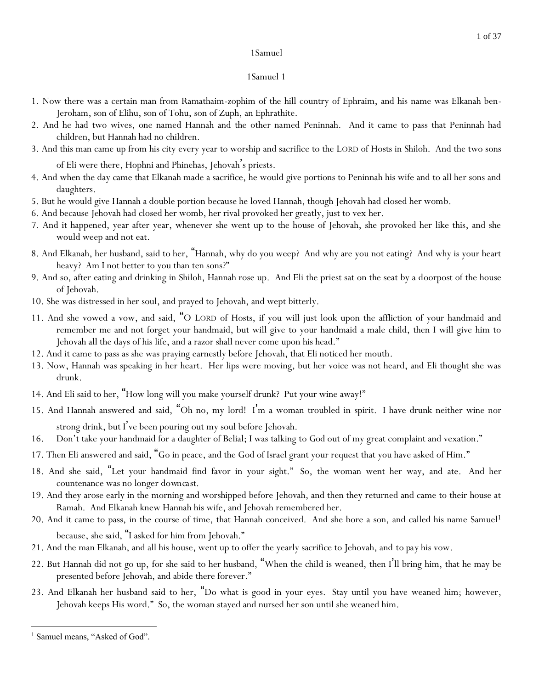- 1. Now there was a certain man from Ramathaim-zophim of the hill country of Ephraim, and his name was Elkanah ben-Jeroham, son of Elihu, son of Tohu, son of Zuph, an Ephrathite.
- 2. And he had two wives, one named Hannah and the other named Peninnah. And it came to pass that Peninnah had children, but Hannah had no children.
- 3. And this man came up from his city every year to worship and sacrifice to the LORD of Hosts in Shiloh. And the two sons of Eli were there, Hophni and Phinehas, Jehovah's priests.
- 4. And when the day came that Elkanah made a sacrifice, he would give portions to Peninnah his wife and to all her sons and daughters.
- 5. But he would give Hannah a double portion because he loved Hannah, though Jehovah had closed her womb.
- 6. And because Jehovah had closed her womb, her rival provoked her greatly, just to vex her.
- 7. And it happened, year after year, whenever she went up to the house of Jehovah, she provoked her like this, and she would weep and not eat.
- 8. And Elkanah, her husband, said to her, "Hannah, why do you weep? And why are you not eating? And why is your heart heavy? Am I not better to you than ten sons?"
- 9. And so, after eating and drinking in Shiloh, Hannah rose up. And Eli the priest sat on the seat by a doorpost of the house of Jehovah.
- 10. She was distressed in her soul, and prayed to Jehovah, and wept bitterly.
- 11. And she vowed a vow, and said, "O LORD of Hosts, if you will just look upon the affliction of your handmaid and remember me and not forget your handmaid, but will give to your handmaid a male child, then I will give him to Jehovah all the days of his life, and a razor shall never come upon his head."
- 12. And it came to pass as she was praying earnestly before Jehovah, that Eli noticed her mouth.
- 13. Now, Hannah was speaking in her heart. Her lips were moving, but her voice was not heard, and Eli thought she was drunk.
- 14. And Eli said to her, "How long will you make yourself drunk? Put your wine away!"
- 15. And Hannah answered and said, "Oh no, my lord! I'm a woman troubled in spirit. I have drunk neither wine nor strong drink, but I've been pouring out my soul before Jehovah.
- 16. Don't take your handmaid for a daughter of Belial; I was talking *to God* out of my great complaint and vexation."
- 17. Then Eli answered and said, "Go in peace, and the God of Israel grant your request that you have asked of Him."
- 18. And she said, "Let your handmaid find favor in your sight." So, the woman went her way, and ate. And her countenance was no longer *downcast*.
- 19. And they arose early in the morning and worshipped before Jehovah, and then they returned and came to their house at Ramah. And Elkanah knew Hannah his wife, and Jehovah remembered her.
- 20. And it came to pass, in the course of time, that Hannah conceived. And she bore a son, and called his name Samuel<sup>1</sup> because, *she said*, "I asked for him from Jehovah."
- 21. And the man Elkanah, and all his house, went up to offer the yearly sacrifice to Jehovah, and *to pay* his vow.
- 22. But Hannah did not go up, for she said to her husband, "When the child is weaned, then I'll bring him, that he may be presented before Jehovah, and abide there forever."
- 23. And Elkanah her husband said to her, "Do what is good in your eyes. Stay until you have weaned him; however, Jehovah keeps His word." So, the woman stayed and nursed her son until she weaned him.

<sup>&</sup>lt;sup>1</sup> Samuel means, "Asked of God".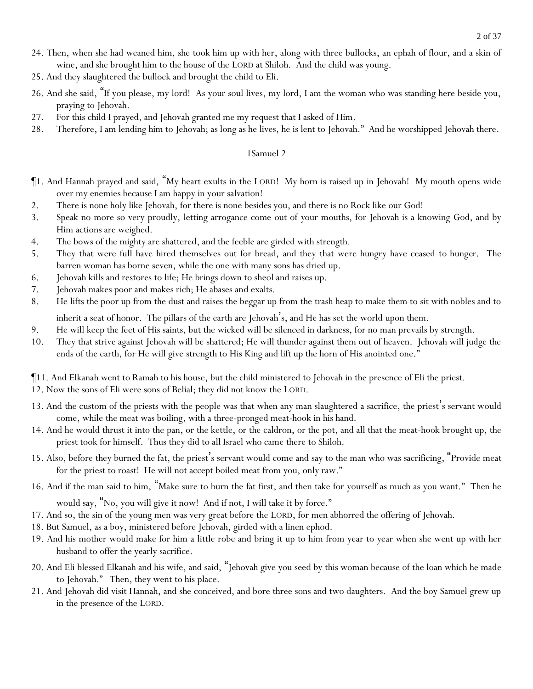- 24. Then, when she had weaned him, she took him up with her, along with three bullocks, an ephah of flour, and a skin of wine, and she brought him to the house of the LORD at Shiloh. And the child was young.
- 25. And they slaughtered the bullock and brought the child to Eli.
- 26. And she said, "If you please, my lord! As your soul lives, my lord, I am the woman who was standing here beside you, praying to Jehovah.
- 27. For this child I prayed, and Jehovah granted me my request that I asked of Him.
- 28. Therefore, I am lending him to Jehovah; as long as he lives, he is lent to Jehovah." And he worshipped Jehovah there.

- ¶1. And Hannah prayed and said, "My heart exults in the LORD! My horn is raised up in Jehovah! My mouth opens wide over my enemies because I am happy in your salvation!
- 2. There is none holy like Jehovah, for there is none besides you, and there is no Rock like our God!
- 3. Speak no more so very proudly, letting arrogance come out of *y*our mouths, for Jehovah is a knowing God, and by Him actions are weighed.
- 4. The bows of the mighty are shattered, and the feeble are girded with strength.
- 5. They that were full have hired themselves out for bread, and they that were hungry have ceased *to hunger*. The barren woman has borne seven, while the one with many sons has dried up.
- 6. Jehovah kills and restores to life; He brings down to sheol and raises up.
- 7. Jehovah makes poor and makes rich; He abases and exalts.
- 8. He lifts the poor up from the dust and raises the beggar up from the trash heap to make them to sit with nobles and to inherit a seat of honor. The pillars of the earth are Jehovah's, and He has set the world upon them.
- 9. He will keep the feet of His saints, but the wicked will be silenced in darkness, for no man prevails by strength.
- 10. They that strive against Jehovah will be shattered; He will thunder against them out of heaven. Jehovah will judge the ends of the earth, for He will give strength to His King and lift up the horn of His anointed one."
- ¶11. And Elkanah went to Ramah to his house, but the child ministered to Jehovah in the presence of Eli the priest.
- 12. Now the sons of Eli were sons of Belial; they did not know the LORD.
- 13. And the custom of the priests with the people was that when any man slaughtered a sacrifice, the priest's servant would come, while the meat was boiling, with a three-pronged meat-hook in his hand.
- 14. And he would thrust it into the pan, or the kettle, or the caldron, or the pot, and all that the meat-hook brought up, the priest took for himself. Thus they did to all Israel who came there to Shiloh.
- 15. Also, before they burned the fat, the priest's servant would come and say to the man who was sacrificing, "Provide meat for the priest to roast! He will not accept boiled meat from you, only raw."
- 16. And if the man said to him, "Make sure to burn the fat first, and then take for yourself as much as you want." Then he

would say, "No, you will give it now! And if not, I will take it by force."

- 17. And so, the sin of the young men was very great before the LORD, for men abhorred the offering of Jehovah.
- 18. But Samuel, as a boy, ministered before Jehovah, girded with a linen ephod.
- 19. And his mother would make for him a little robe and bring it up to him from year to year when she went up with her husband to offer the yearly sacrifice.
- 20. And Eli blessed Elkanah and his wife, and said, "Jehovah give you seed by this woman because of the loan which he made to Jehovah." Then, they went to his place.
- 21. And Jehovah did visit Hannah, and she conceived, and bore three sons and two daughters. And the boy Samuel grew up in the presence of the LORD.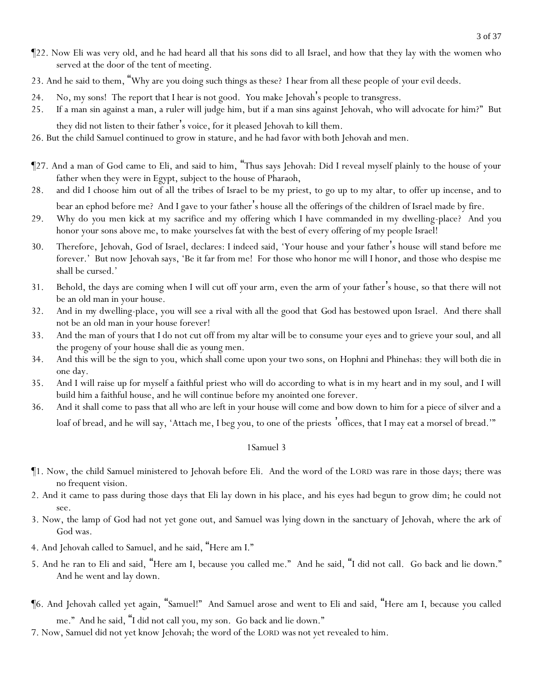3 of 37

- ¶22. Now Eli was very old, and he had heard all that his sons did to all Israel, and how that they lay with the women who served at the door of the tent of meeting.
- 23. And he said to them, "Why are *y*ou doing such things as these? I hear from all these people of *y*our evil deeds.
- 24. No, my sons! The report that I hear is not good. *Y*ou make Jehovah's people to transgress.
- 25. If a man sin against a man, a ruler will judge him, but if a man sins against Jehovah, who will advocate for him?" But
	- they did not listen to their father's voice, for it pleased Jehovah to kill them.
- 26. But the child Samuel continued to grow in stature, and he had favor with both Jehovah and men.
- ¶27. And a man of God came to Eli, and said to him, "Thus says Jehovah: Did I reveal myself plainly to the house of your father when they were in Egypt, subject to the house of Pharaoh,
- 28. and did I choose him out of all the tribes of Israel to be my priest, to go up to my altar, to offer up incense, *and* to bear an ephod before me? And I gave to your father's house all the offerings of the children of Israel made by fire.
- 29. Why do *y*ou men kick at my sacrifice and my offering which I have commanded in my dwelling-place? And you honor your sons above me, to make *y*ourselves fat with the best of every offering of my people Israel!
- 30. Therefore, Jehovah, God of Israel, declares: I indeed said, 'Your house and your father's house will stand before me forever.' But now Jehovah says, 'Be it far from me! For those who honor me will I honor, and those who despise me shall be cursed.'
- 31. Behold, the days are coming when I will cut off your arm, even the arm of your father's house, so that there will not be an old man in your house.
- 32. And *in my* dwelling-place, you will see a rival with all the good that *God* has bestowed upon Israel. And there shall not be an old man in your house forever!
- 33. And the man of yours that I do not cut off from my altar will be to consume your eyes and to grieve your soul, and all the progeny of your house shall die as *young* men.
- 34. And this will be the sign to you, which shall come upon your two sons, on Hophni and Phinehas: they will both die in one day.
- 35. And I will raise up for myself a faithful priest who will do according to what is in my heart and in my soul, and I will build him a faithful house, and he will continue before my anointed one forever.
- 36. And it shall come to pass that all who are left in your house will come and bow down to him for a piece of silver and a loaf of bread, and he will say, 'Attach me, I beg you, to one of the priests offices, that I may eat a morsel of bread.'"

- ¶1. Now, the child Samuel ministered to Jehovah before Eli. And the word of the LORD was rare in those days; there was no frequent vision.
- 2. And it came to pass during those days that Eli lay down in his place, and his eyes had begun to grow dim; he could not see.
- 3. Now, the lamp of God had not yet gone out, and Samuel was lying down in the sanctuary of Jehovah, where the ark of God was.
- 4. And Jehovah called to Samuel, and he said, "Here am I."
- 5. And he ran to Eli and said, "Here am I, because you called me." And he said, "I did not call. Go back and lie down." And he went and lay down.
- ¶6. And Jehovah called yet again, "Samuel!" And Samuel arose and went to Eli and said, "Here am I, because you called me." And he said, "I did not call you, my son. Go back and lie down."
- 7. Now, Samuel did not yet know Jehovah; the word of the LORD was not yet revealed to him.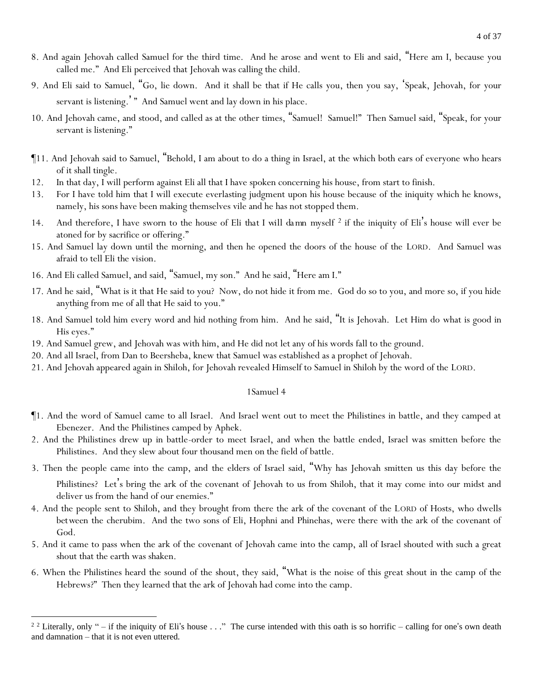- 8. And again Jehovah called Samuel for the third time. And he arose and went to Eli and said, "Here am I, because you called me." And Eli perceived that Jehovah was calling the child.
- 9. And Eli said to Samuel, "Go, lie down. And it shall be that if He calls you, then you say, 'Speak, Jehovah, for your servant is listening.'" And Samuel went and lay down in his place.
- 10. And Jehovah came, and stood, and called as at the other times, "Samuel! Samuel!" Then Samuel said, "Speak, for your servant is listening."
- ¶11. And Jehovah said to Samuel, "Behold, I am about to do a thing in Israel, at the which both ears of everyone who hears of it shall tingle.
- 12. In that day, I will perform against Eli all that I have spoken concerning his house, from start to finish.
- 13. For I have told him that I will execute everlasting judgment upon his house because of the iniquity which he knows, namely, his sons have been making themselves vile and he has not stopped them.
- 14. And therefore, I have sworn to the house of Eli *that I will da mn myself <sup>2</sup>* if the iniquity of Eli's house will ever be atoned for by sacrifice or offering."
- 15. And Samuel lay down until the morning, and then he opened the doors of the house of the LORD. And Samuel was afraid to tell Eli the vision.
- 16. And Eli called Samuel, and said, "Samuel, my son." And he said, "Here am I."
- 17. And he said, "What is it that He said to you? Now, do not hide it from me. God do so to you, and more so, if you hide anything from me of all that He said to you."
- 18. And Samuel told him every word and hid nothing from him. And he said, "It is Jehovah. Let Him do what is good in His eyes."
- 19. And Samuel grew, and Jehovah was with him, and He did not let any of his words fall to the ground.
- 20. And all Israel, from Dan to Beersheba, knew that Samuel was established as a prophet of Jehovah.
- 21. And Jehovah appeared again in Shiloh, for Jehovah revealed Himself to Samuel in Shiloh by the word of the LORD.

- ¶1. And the word of Samuel came to all Israel. And Israel went out to meet the Philistines in battle, and they camped at Ebenezer. And the Philistines camped by Aphek.
- 2. And the Philistines drew up in battle-order to meet Israel, and when the battle ended, Israel was smitten before the Philistines. And they slew about four thousand men on the field of battle.
- 3. Then the people came into the camp, and the elders of Israel said, "Why has Jehovah smitten us this day before the

Philistines? Let's bring the ark of the covenant of Jehovah to us from Shiloh, that it may come into our midst and deliver us from the hand of our enemies."

- 4. And the people sent to Shiloh, and they brought from there the ark of the covenant of the LORD of Hosts, who dwells *between* the cherubim. And the two sons of Eli, Hophni and Phinehas, were there with the ark of the covenant of God.
- 5. And it came to pass when the ark of the covenant of Jehovah came into the camp, all of Israel shouted with such a great shout that the earth was shaken.
- 6. When the Philistines heard the sound of the shout, they said, "What is the noise of this great shout in the camp of the Hebrews?" Then they learned that the ark of Jehovah had come into the camp.

<sup>&</sup>lt;sup>2 2</sup> Literally, only " – if the iniquity of Eli's house  $\ldots$  " The curse intended with this oath is so horrific – calling for one's own death and damnation – that it is not even uttered.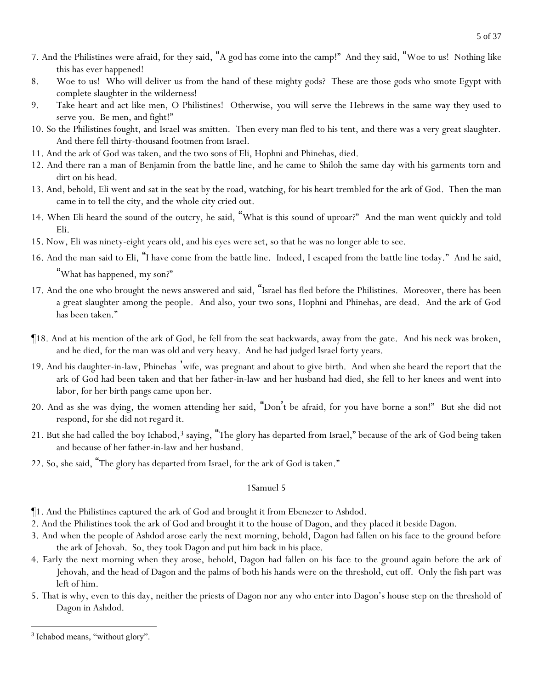- 7. And the Philistines were afraid, for they said, "A god has come into the camp!" And they said, "Woe to us! Nothing like this has ever happened!
- 8. Woe to us! Who will deliver us from the hand of these mighty gods? These are those gods who smote Egypt with complete slaughter in the wilderness!
- 9. Take heart and act like men, O Philistines! Otherwise, *y*ou will serve the Hebrews in the same way they used to serve *y*ou. Be men, and fight!"
- 10. So the Philistines fought, and Israel was smitten. Then every man fled to his tent, and there was a very great slaughter. And there fell thirty-thousand footmen from Israel.
- 11. And the ark of God was taken, and the two sons of Eli, Hophni and Phinehas, died.
- 12. And there ran a man of Benjamin from the battle line, and he came to Shiloh the same day with his garments torn and dirt on his head.
- 13. And, behold, Eli went and sat in the seat by the road, watching, for his heart trembled for the ark of God. Then the man came in to tell the city, and the whole city cried out.
- 14. When Eli heard the sound of the outcry, he said, "What is this sound of uproar?" And the man went quickly and told Eli.
- 15. Now, Eli was ninety-eight years old, and his eyes were set, so that he was no longer able to see.
- 16. And the man said to Eli, "I have come from the battle line. Indeed, I escaped from the battle line today." And he said,

"What has happened, my son?"

- 17. And the one who brought the news answered and said, "Israel has fled before the Philistines. Moreover, there has been a great slaughter among the people. And also, your two sons, Hophni and Phinehas, are dead. And the ark of God has been taken."
- ¶18. And at his mention of the ark of God, he fell from the seat backwards, away from the gate. And his neck was broken, and he died, for the man was old and very heavy. And he had judged Israel forty years.
- 19. And his daughter-in-law, Phinehas 'wife, was pregnant and about to give birth. And when she heard the report that the ark of God had been taken and that her father-in-law and her husband had died, she fell to her knees and went into labor, for her birth pangs came upon her.
- 20. And as she was dying, the women attending her said, "Don't be afraid, for you have borne a son!" But she did not respond, for she did not regard it.
- 21. But she had called the boy Ichabod,<sup>3</sup> saying, "The glory has departed from Israel," because of the ark of God being taken and because of her father-in-law and her husband.
- 22. So, she said, "The glory has departed from Israel, for the ark of God is taken."

- ¶1. And the Philistines captured the ark of God and brought it from Ebenezer to Ashdod.
- 2. And the Philistines took the ark of God and brought it to the house of Dagon, and they placed it beside Dagon.
- 3. And when the people of Ashdod arose early the next morning, behold, Dagon had fallen on his face to the ground before the ark of Jehovah. So, they took Dagon and put him back in his place.
- 4. Early the next morning when they arose, behold, Dagon had fallen on his face to the ground again before the ark of Jehovah, and the head of Dagon and the palms of both his hands were on the threshold, cut off. Only the fish part was left of him.
- 5. That is why, even to this day, neither the priests of Dagon nor any who enter into Dagon's house step on the threshold of Dagon in Ashdod.

<sup>&</sup>lt;sup>3</sup> Ichabod means, "without glory".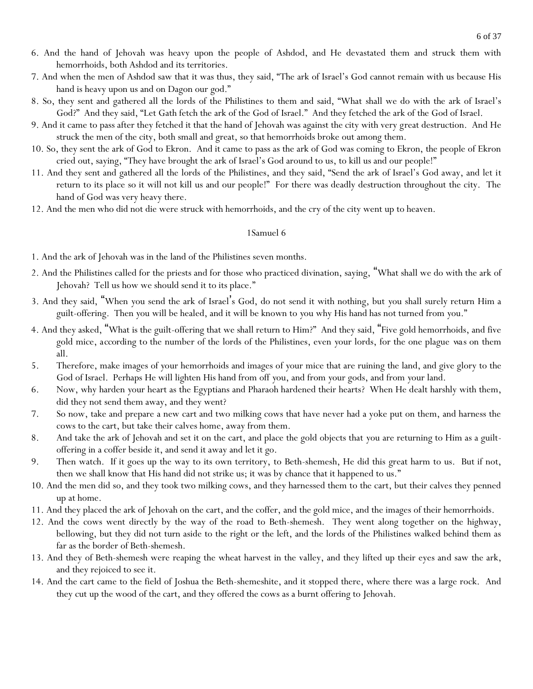- 6. And the hand of Jehovah was heavy upon the people of Ashdod, and He devastated them and struck them with hemorrhoids, both Ashdod and its territories.
- 7. And when the men of Ashdod saw that it was thus, they said, "The ark of Israel's God cannot remain with us because His hand is heavy upon us and on Dagon our god."
- 8. So, they sent and gathered all the lords of the Philistines to them and said, "What shall we do with the ark of Israel's God?" And they said, "Let Gath fetch the ark of the God of Israel." And they fetched the ark of the God of Israel.
- 9. And it came to pass after they fetched it that the hand of Jehovah was against the city with very great destruction. And He struck the men of the city, both small and great, so that hemorrhoids broke out among them.
- 10. So, they sent the ark of God to Ekron. And it came to pass as the ark of God was coming to Ekron, the people of Ekron cried out, saying, "They have brought the ark of Israel's God around to us, to kill us and our people!"
- 11. And they sent and gathered all the lords of the Philistines, and they said, "Send the ark of Israel's God away, and let it return to its place so it will not kill us and our people!" For there was deadly destruction throughout the city. The hand of God was very heavy there.
- 12. And the men who did not die were struck with hemorrhoids, and the cry of the city went up to heaven.

- 1. And the ark of Jehovah was in the land of the Philistines seven months.
- 2. And the Philistines called for the priests and for those who practiced divination, saying, "What shall we do with the ark of Jehovah? Tell us how we should send it to its place."
- 3. And they said, "When *y*ou send the ark of Israel's God, do not send it with nothing, but *y*ou shall surely return Him a guilt-offering. Then *y*ou will be healed, and it will be known to *y*ou why His hand has not turned from *y*ou."
- 4. And they asked, "What is the guilt-offering that we shall return to Him?" And they said, "Five gold hemorrhoids, and five gold mice, *according to* the number of the lords of the Philistines, even *y*our lords, for the one plague *was* on them all.
- 5. Therefore, make images of *y*our hemorrhoids and images of *y*our mice that are ruining the land, and give glory to the God of Israel. Perhaps He will lighten His hand from off *y*ou, and from *y*our gods, and from *y*our land.
- 6. Now, why harden *y*our heart as the Egyptians and Pharaoh hardened their hearts? When He dealt harshly with them, did they not send them away, and they went?
- 7. So now, take and prepare a new cart and two milking cows that have never had a yoke put on them, and harness the cows to the cart, but take their calves home, away from them.
- 8. And take the ark of Jehovah and set it on the cart, and place the gold objects that *y*ou are returning to Him as a guiltoffering in a coffer beside it, and send it away and let it go.
- 9. Then watch. If it goes up the way to its own territory, to Beth-shemesh, He did this great harm to us. But if not, then we shall know that His hand did not strike us; it was by chance that it happened to us."
- 10. And the men did so, and they took two milking cows, and they harnessed them to the cart, but their calves they penned up at home.
- 11. And they placed the ark of Jehovah on the cart, and the coffer, and the gold mice, and the images of their hemorrhoids.
- 12. And the cows went directly by the way of the road to Beth-shemesh. They went along together on the highway, bellowing, but they did not turn aside to the right or the left, and the lords of the Philistines walked behind them as far as the border of Beth-shemesh.
- 13. And they of Beth-shemesh were reaping the wheat harvest in the valley, and they lifted up their eyes and saw the ark, and they rejoiced to see it.
- 14. And the cart came to the field of Joshua the Beth-shemeshite, and it stopped there, where there was a large rock. And they cut up the wood of the cart, and they offered the cows as a burnt offering to Jehovah.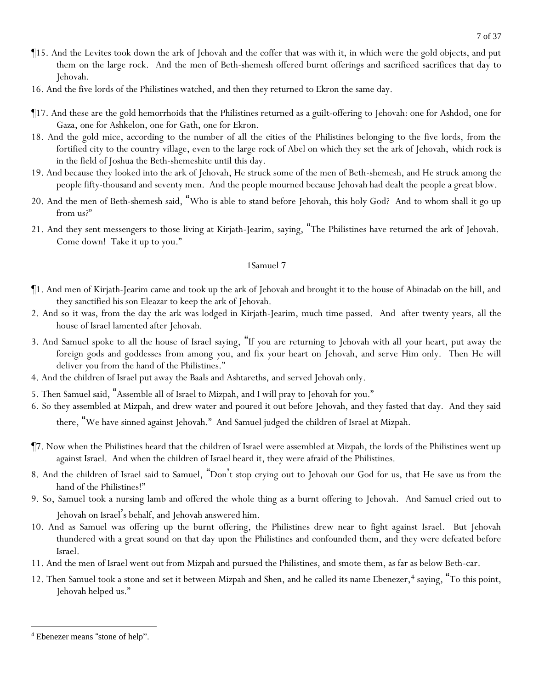- ¶15. And the Levites took down the ark of Jehovah and the coffer that was with it, in which were the gold objects, and put them on the large rock. And the men of Beth-shemesh offered burnt offerings and sacrificed sacrifices that day to Jehovah.
- 16. And the five lords of the Philistines watched, and then they returned to Ekron the same day.
- ¶17. And these are the gold hemorrhoids that the Philistines returned as a guilt-offering to Jehovah: one for Ashdod, one for Gaza, one for Ashkelon, one for Gath, one for Ekron.
- 18. And the gold mice, according to the number of all the cities of the Philistines belonging to the five lords, from the fortified city to the country village, even to the large *rock* of Abel on which they set the ark of Jehovah, *which rock* is in the field of Joshua the Beth-shemeshite until this day.
- 19. And because they looked into the ark of Jehovah, He struck some of the men of Beth-shemesh, and He struck among the people fifty-thousand and seventy men. And the people mourned because Jehovah had dealt the people a great blow.
- 20. And the men of Beth-shemesh said, "Who is able to stand before Jehovah, this holy God? And to whom shall it go up from us?"
- 21. And they sent messengers to those living at Kirjath-Jearim, saying, "The Philistines have returned the ark of Jehovah. Come down! Take it up to *y*ou."

- ¶1. And men of Kirjath-Jearim came and took up the ark of Jehovah and brought it to the house of Abinadab on the hill, and they sanctified his son Eleazar to keep the ark of Jehovah.
- 2. And so it was, from the day the ark was lodged in Kirjath-Jearim, much time passed. And after twenty years, all the house of Israel lamented after Jehovah.
- 3. And Samuel spoke to all the house of Israel saying, "If *y*ou are returning to Jehovah with all *y*our heart, put away the foreign gods and goddesses from among *y*ou, and fix *y*our heart on Jehovah, and serve Him only. Then He will deliver *y*ou from the hand of the Philistines."
- 4. And the children of Israel put away the Baals and Ashtareths, and served Jehovah only.
- 5. Then Samuel said, "Assemble all of Israel to Mizpah, and I will pray to Jehovah for *y*ou."
- 6. So they assembled at Mizpah, and drew water and poured it out before Jehovah, and they fasted that day. And they said there, "We have sinned against Jehovah." And Samuel judged the children of Israel at Mizpah.
- ¶7. Now when the Philistines heard that the children of Israel were assembled at Mizpah, the lords of the Philistines went up against Israel. And when the children of Israel heard it, they were afraid of the Philistines.
- 8. And the children of Israel said to Samuel, "Don't stop crying out to Jehovah our God for us, that He save us from the hand of the Philistines!"
- 9. So, Samuel took a nursing lamb and offered the whole thing as a burnt offering to Jehovah. And Samuel cried out to Jehovah on Israel's behalf, and Jehovah answered him.
- 10. And as Samuel was offering up the burnt offering, the Philistines drew near to fight against Israel. But Jehovah thundered with a great sound on that day upon the Philistines and confounded them, and they were defeated before Israel.
- 11. And the men of Israel went out from Mizpah and pursued the Philistines, and smote them, as far as below Beth-car.
- 12. Then Samuel took a stone and set it between Mizpah and Shen, and he called its name Ebenezer,<sup>4</sup> saying, "To this point, Jehovah helped us."

<sup>4</sup> Ebenezer means "stone of help".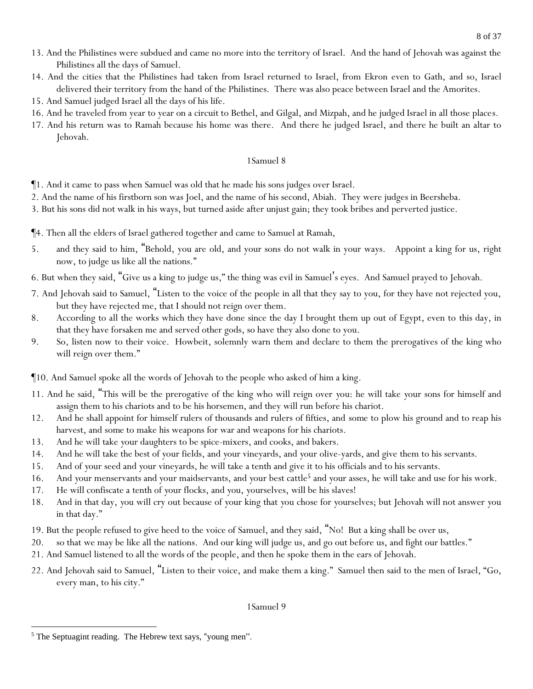- 13. And the Philistines were subdued and came no more into the territory of Israel. And the hand of Jehovah was against the Philistines all the days of Samuel.
- 14. And the cities that the Philistines had taken from Israel returned to Israel, from Ekron even to Gath, and so, Israel delivered their territory from the hand of the Philistines. There was also peace between Israel and the Amorites.
- 15. And Samuel judged Israel all the days of his life.
- 16. And he traveled from year to year on a circuit to Bethel, and Gilgal, and Mizpah, and he judged Israel in all those places.
- 17. And his return was to Ramah because his home was there. And there he judged Israel, and there he built an altar to Jehovah.

- ¶1. And it came to pass when Samuel was old that he made his sons judges over Israel.
- 2. And the name of his firstborn son was Joel, and the name of his second, Abiah. They were judges in Beersheba.
- 3. But his sons did not walk in his ways, but turned aside after unjust gain; they took bribes and perverted justice.
- ¶4. Then all the elders of Israel gathered together and came to Samuel at Ramah,
- 5. and they said to him, "Behold, you are old, and your sons do not walk in your ways. Appoint a king for us, right now, to judge us like all the nations."
- 6. But when they said, "Give us a king to judge us," the thing was evil in Samuel's eyes. And Samuel prayed to Jehovah.
- 7. And Jehovah said to Samuel, "Listen to the voice of the people in all that they say to you, for they have not rejected you, but they have rejected me, that I should not reign over them.
- 8. According to all the works which they have done since the day I brought them up out of Egypt, even to this day, in that they have forsaken me and served other gods, so have they also done to you.
- 9. So, listen now to their voice. Howbeit, solemnly warn them and declare to them the prerogatives of the king who will reign over them."
- ¶10. And Samuel spoke all the words of Jehovah to the people who asked of him a king.
- 11. And he said, "This will be the prerogative of the king who will reign over *y*ou: he will take *y*our sons for himself and assign them to his chariots and to be his horsemen, and they will run before his chariot.
- 12. And he shall appoint for himself rulers of thousands and rulers of fifties, and *some* to plow his ground and to reap his harvest, and *some* to make his weapons for war and weapons for his chariots.
- 13. And he will take *y*our daughters to be spice-mixers, and cooks, and bakers.
- 14. And he will take the best of *y*our fields, and *y*our vineyards, and *y*our olive-yards, and give them to his servants.
- 15. And of *y*our seed and *y*our vineyards, he will take a tenth and give it to his officials and to his servants.
- 16. And *y*our menservants and *y*our maidservants, and *y*our best cattle<sup>5</sup> and *y*our asses, he will take and use for his work.
- 17. He will confiscate a tenth of *y*our flocks, and *y*ou, *y*ourselves, will be his slaves!
- 18. And in that day, *y*ou will cry out because of *y*our king that *y*ou chose for *y*ourselves; but Jehovah will not answer *y*ou in that day."
- 19. But the people refused to give heed to the voice of Samuel, and they said, "No! But a king shall be over us,
- 20. so that we may be like all the nations. And our king will judge us, and go out before us, and fight our battles."
- 21. And Samuel listened to all the words of the people, and then he spoke them in the ears of Jehovah.
- 22. And Jehovah said to Samuel, "Listen to their voice, and make them a king." Samuel then said to the men of Israel, "Go, every man, to his city."

<sup>&</sup>lt;sup>5</sup> The Septuagint reading. The Hebrew text says, "young men".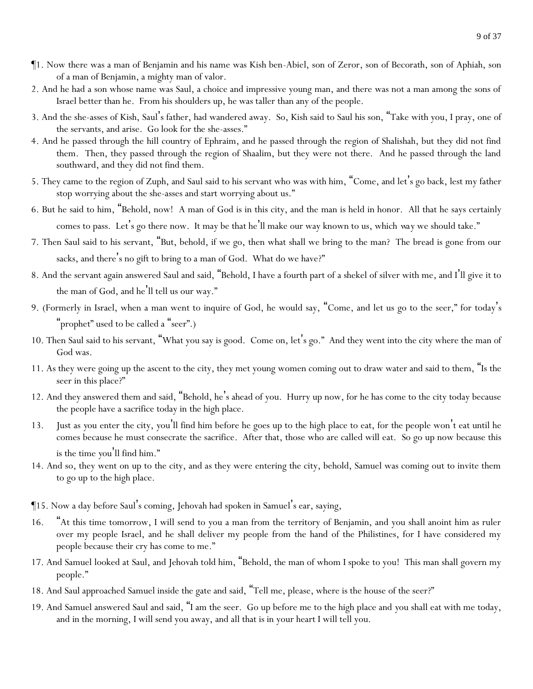- ¶1. Now there was a man of Benjamin and his name was Kish ben-Abiel, son of Zeror, son of Becorath, son of Aphiah, son of a man of Benjamin, a mighty man of valor.
- 2. And he had a son whose name was Saul, a choice and impressive young man, and there was not a man among the sons of Israel better than he. From his shoulders up, he was taller than any of the people.
- 3. And the she-asses of Kish, Saul's father, had wandered away. So, Kish said to Saul his son, "Take with you, I pray, one of the servants, and arise. Go look for the she-asses."
- 4. And he passed through the hill country of Ephraim, and he passed through the region of Shalishah, but they did not find them. Then, they passed through the region of Shaalim, but they were not there. And he passed through the land southward, and they did not find them.
- 5. They came to the region of Zuph, and Saul said to his servant who was with him, "Come, and let's go back, lest my father stop worrying about the she-asses and start worrying about us."
- 6. But he said to him, "Behold, now! A man of God is in this city, and the man is held in honor. All that he says certainly comes to pass. Let's go there now. It may be that he'll make our way known to us, which *way* we should take."
- 7. Then Saul said to his servant, "But, behold, if we go, then what shall we bring to the man? The bread is gone from our sacks, and there's no gift to bring to a man of God. What do we have?"
- 8. And the servant again answered Saul and said, "Behold, I have a fourth part of a shekel of silver with me, and I'll give it to the man of God, and he'll tell us our way."
- 9. (Formerly in Israel, when a man went to inquire of God, he would say, "Come, and let us go to the seer," for today's "prophet" used to be called a "seer".)
- 10. Then Saul said to his servant, "What you say is good. Come on, let's go." And they went into the city where the man of God was.
- 11. As they were going up the ascent to the city, they met young women coming out to draw water and said to them, "Is the seer in this place?"
- 12. And they answered them and said, "Behold, he's ahead of you. Hurry up now, for he has come to the city today because the people have a sacrifice today in the high place.
- 13. Just as *y*ou enter the city, *y*ou'll find him before he goes up to the high place to eat, for the people won't eat until he comes because he must consecrate the sacrifice. After that, those who are called will eat. So go up now because this is the time *y*ou'll find him."
- 14. And so, they went on up to the city, and as they were entering the city, behold, Samuel was coming out to invite them to go up to the high place.
- ¶15. Now a day before Saul's coming, Jehovah had spoken in Samuel's ear, saying,
- 16. "At this time tomorrow, I will send to you a man from the territory of Benjamin, and you shall anoint him as ruler over my people Israel, and he shall deliver my people from the hand of the Philistines, for I have considered my people because their cry has come to me."
- 17. And Samuel looked at Saul, and Jehovah told him, "Behold, the man of whom I spoke to you! This man shall govern my people."
- 18. And Saul approached Samuel inside the gate and said, "Tell me, please, where *is* the house of the seer?"
- 19. And Samuel answered Saul and said, "I am the seer. Go up before me to the high place and *y*ou shall eat with me today, and in the morning, I will send you away, and all that is in your heart I will tell you.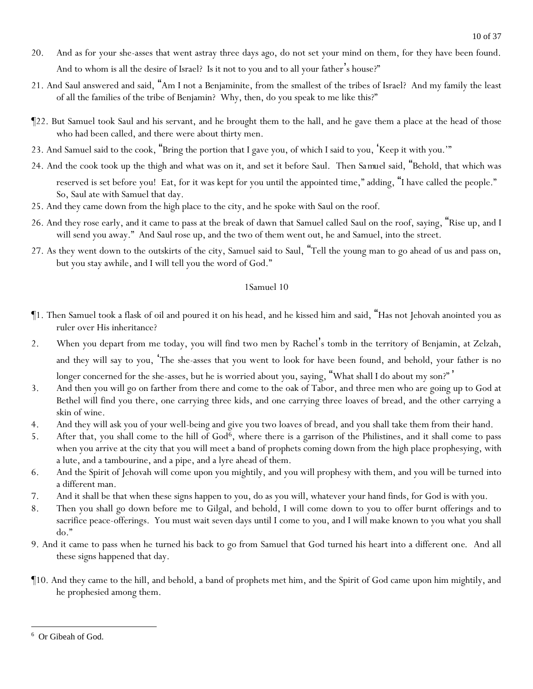- 20. And as for your she-asses that went astray three days ago, do not set your mind on them, for they have been found. And to whom is all the desire of Israel? Is it not to you and to all your father's house?"
- 21. And Saul answered and said, "Am I not a Benjaminite, from the smallest of the tribes of Israel? And my family the least of all the families of the tribe of Benjamin? Why, then, do you speak to me like this?"
- ¶22. But Samuel took Saul and his servant, and he brought them to the hall, and he gave them a place at the head of those who had been called, and there were about thirty men.
- 23. And Samuel said to the cook, "Bring the portion that I gave you, of which I said to you, 'Keep it with you.'"
- 24. And the cook took up the thigh and what was on it, and set it before Saul. Then *Samuel* said, "Behold, that which was reserved is set before you! Eat, for it was kept for you until the appointed time," adding, "I have called the people." So, Saul ate with Samuel that day.
- 25. And they came down from the high place to the city, and he spoke with Saul on the roof.
- 26. And they rose early, and it came to pass at the break of dawn that Samuel called Saul on the roof, saying, "Rise up, and I will send you away." And Saul rose up, and the two of them went out, he and Samuel, into the street.
- 27. As they went down to the outskirts of the city, Samuel said to Saul, "Tell the young man to go ahead of us and pass on, but you stay awhile, and I will tell you the word of God."

- ¶1. Then Samuel took a flask of oil and poured *it* on his head, and he kissed him and said, "Has not Jehovah anointed you as ruler over His inheritance?
- 2. When you depart from me today, you will find two men by Rachel's tomb in the territory of Benjamin, at Zelzah, and they will say to you, 'The she-asses that you went to look for have been found, and behold, your father is no longer concerned for the she-asses, but he is worried about *y*ou, saying, "What shall I do about my son?" '
- 3. And then you will go on farther from there and come to the oak of Tabor, and three men who are going up to God at Bethel will find you there, one carrying three kids, and one carrying three loaves of bread, and the other carrying a skin of wine.
- 4. And they will ask you of your well-being and give you two loaves of bread, and you shall take them from their hand.
- 5. After that, you shall come to the hill of God<sup>6</sup>, where there is a garrison of the Philistines, and it shall come to pass when you arrive at the city that you will meet a band of prophets coming down from the high place prophesying, with a lute, and a tambourine, and a pipe, and a lyre ahead of them.
- 6. And the Spirit of Jehovah will come upon you mightily, and you will prophesy with them, and you will be turned into a different man.
- 7. And it shall be that when these signs happen to you, do as you will, whatever your hand finds, for God is with you.
- 8. Then you shall go down before me to Gilgal, and behold, I will come down to you to offer burnt offerings *and* to sacrifice peace-offerings. You must wait seven days until I come to you, and I will make known to you what you shall do."
- 9. And it came to pass when he turned his back to go from Samuel that God turned his heart into a different *one*. And all these signs happened that day.
- ¶10. And they came to the hill, and behold, a band of prophets met him, and the Spirit of God came upon him mightily, and he prophesied among them.

<sup>6</sup> Or Gibeah of God.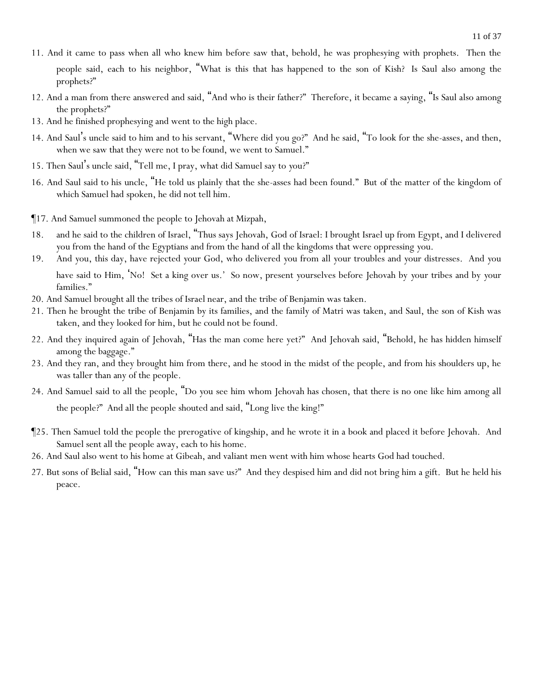- 11. And it came to pass when all who knew him before saw that, behold, he was prophesying with prophets. Then the people said, each to his neighbor, "What is this that has happened to the son of Kish? Is Saul also among the prophets?"
- 12. And a man from there answered and said, "And who is their father?" Therefore, it became a saying, "Is Saul also among the prophets?"
- 13. And he finished prophesying and went to the high place.
- 14. And Saul's uncle said to him and to his servant, "Where did you go?" And he said, "To look for the she-asses, and then, when we saw that they were not *to be found*, we went to Samuel."
- 15. Then Saul's uncle said, "Tell me, I pray, what did Samuel say to *y*ou?"
- 16. And Saul said to his uncle, "He told us plainly that the she-asses had been found." But *of* the matter of the kingdom of which Samuel had spoken, he did not tell him.
- ¶17. And Samuel summoned the people to Jehovah at Mizpah,
- 18. and he said to the children of Israel, "Thus says Jehovah, God of Israel: I brought Israel up from Egypt, and I delivered *y*ou from the hand of the Egyptians and from the hand of all the kingdoms that were oppressing *y*ou.
- 19. And *y*ou, this day, have rejected *y*our God, who delivered *y*ou from all *y*our troubles and *y*our distresses. And *y*ou have said to Him, 'No! Set a king over us.' So now, present *y*ourselves before Jehovah by *y*our tribes and by *y*our families."
- 20. And Samuel brought all the tribes of Israel near, and the tribe of Benjamin was taken.
- 21. Then he brought the tribe of Benjamin by its families, and the family of Matri was taken, and Saul, the son of Kish was taken, and they looked for him, but he could not be found.
- 22. And they inquired again of Jehovah, "Has the man come here yet?" And Jehovah said, "Behold, he has hidden himself among the baggage."
- 23. And they ran, and they brought him from there, and he stood in the midst of the people, and from his shoulders up, he was taller than any of the people.
- 24. And Samuel said to all the people, "Do *y*ou see him whom Jehovah has chosen, that there is no one like him among all the people?" And all the people shouted and said, "Long live the king!"
- ¶25. Then Samuel told the people the prerogative of kingship, and he wrote it in a book and placed it before Jehovah. And Samuel sent all the people away, each to his home.
- 26. And Saul also went to his home at Gibeah, and valiant men went with him whose hearts God had touched.
- 27. But sons of Belial said, "How can this man save us?" And they despised him and did not bring him a gift. But he held his peace.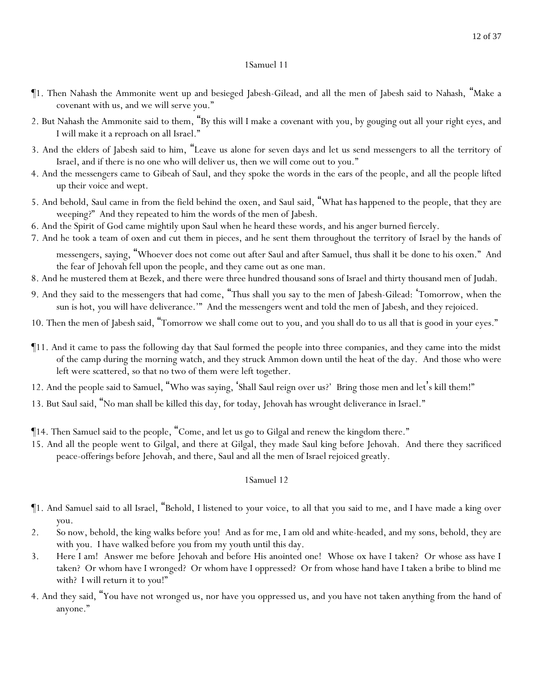- ¶1. Then Nahash the Ammonite went up and besieged Jabesh-Gilead, and all the men of Jabesh said to Nahash, "Make a covenant with us, and we will serve you."
- 2. But Nahash the Ammonite said to them, "By this will I make *a covenant* with *y*ou, by gouging out all *y*our right eyes, and I will make it a reproach on all Israel."
- 3. And the elders of Jabesh said to him, "Leave us alone for seven days and let us send messengers to all the territory of Israel, and if there is no one who will deliver us, then we will come out to you."
- 4. And the messengers came to Gibeah of Saul, and they spoke the words in the ears of the people, and all the people lifted up their voice and wept.
- 5. And behold, Saul came in from the field behind the oxen, and Saul said, "What *has happened* to the people, that they are weeping?" And they repeated to him the words of the men of Jabesh.
- 6. And the Spirit of God came mightily upon Saul when he heard these words, and his anger burned fiercely.
- 7. And he took a team of oxen and cut them in pieces, and he sent them throughout the territory of Israel by the hands of

messengers, saying, "Whoever does not come out after Saul and after Samuel, thus shall it be done to his oxen." And the fear of Jehovah fell upon the people, and they came out as one man.

- 8. And he mustered them at Bezek, and there were three hundred thousand sons of Israel and thirty thousand men of Judah.
- 9. And they said to the messengers that had come, "Thus shall *y*ou say to the men of Jabesh-Gilead: 'Tomorrow, when the sun is hot, *y*ou will have deliverance.'" And the messengers went and told the men of Jabesh, and they rejoiced.
- 10. Then the men of Jabesh said, "Tomorrow we shall come out to *y*ou, and *y*ou shall do to us all that is good in *y*our eyes."
- ¶11. And it came to pass the following day that Saul formed the people into three companies, and they came into the midst of the camp during the morning watch, and they struck Ammon down until the heat of the day. And those who were left were scattered, so that no two of them were left together.
- 12. And the people said to Samuel, "Who was saying, 'Shall Saul reign over us?' Bring those men and let's kill them!"
- 13. But Saul said, "No man shall be killed this day, for today, Jehovah has wrought deliverance in Israel."

¶14. Then Samuel said to the people, "Come, and let us go to Gilgal and renew the kingdom there."

15. And all the people went to Gilgal, and there at Gilgal, they made Saul king before Jehovah. And there they sacrificed peace-offerings before Jehovah, and there, Saul and all the men of Israel rejoiced greatly.

- ¶1. And Samuel said to all Israel, "Behold, I listened to *y*our voice, to all that *y*ou said to me, and I have made a king over *y*ou.
- 2. So now, behold, the king walks before *y*ou! And as for me, I am old and white-headed, and my sons, behold, they are with *y*ou. I have walked before *y*ou from my youth until this day.
- 3. Here I am! Answer me before Jehovah and before His anointed one! Whose ox have I taken? Or whose ass have I taken? Or whom have I wronged? Or whom have I oppressed? Or from whose hand have I taken a bribe to blind me with? I will return it to *y*ou!"
- 4. And they said, "You have not wronged us, nor have you oppressed us, and you have not taken anything from the hand of anyone."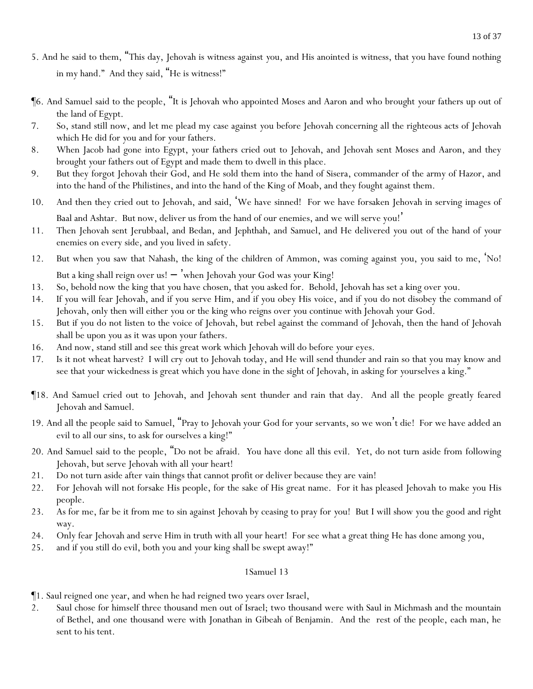- 5. And he said to them, "This day, Jehovah is witness against *y*ou, and His anointed is witness, that you have found nothing in my hand." And they said, "He is witness!"
- ¶6. And Samuel said to the people, "It is Jehovah who appointed Moses and Aaron and who brought *y*our fathers up out of the land of Egypt.
- 7. So, stand still now, and let me plead my case against *y*ou before Jehovah concerning all the righteous acts of Jehovah which He did for *y*ou and for *y*our fathers.
- 8. When Jacob had gone into Egypt, *y*our fathers cried out to Jehovah, and Jehovah sent Moses and Aaron, and they brought *y*our fathers out of Egypt and made them to dwell in this place.
- 9. But they forgot Jehovah their God, and He sold them into the hand of Sisera, commander of the army of Hazor, and into the hand of the Philistines, and into the hand of the King of Moab, and they fought against them.
- 10. And then they cried out to Jehovah, and said, 'We have sinned! For we have forsaken Jehovah in serving images of Baal and Ashtar. But now, deliver us from the hand of our enemies, and we will serve you!'
- 11. Then Jehovah sent Jerubbaal, and Bedan, and Jephthah, and Samuel, and He delivered *y*ou out of the hand of *y*our enemies on every side, and *y*ou lived in safety.
- 12. But when *y*ou saw that Nahash, the king of the children of Ammon, was coming against *y*ou, *y*ou said to me, 'No! But a king shall reign over us! – 'when Jehovah *y*our God was *y*our King!
- 13. So, behold now the king that *y*ou have chosen, that *y*ou asked for. Behold, Jehovah has set a king over *y*ou.
- 14. If *y*ou will fear Jehovah, and if *y*ou serve Him, and if *y*ou obey His voice, and if *y*ou do not disobey the command of Jehovah, only then will either *y*ou or the king who reigns over *y*ou continue with Jehovah *y*our God.
- 15. But if *y*ou do not listen to the voice of Jehovah, but rebel against the command of Jehovah, then the hand of Jehovah shall be upon *y*ou as it was upon your fathers.
- 16. And now, stand still and see this great work which Jehovah will do before *y*our eyes.
- 17. Is it not wheat harvest? I will cry out to Jehovah today, and He will send thunder and rain so that you may know and see that *y*our wickedness is great which *y*ou have done in the sight of Jehovah, in asking for *y*ourselves a king."
- ¶18. And Samuel cried out to Jehovah, and Jehovah sent thunder and rain that day. And all the people greatly feared Jehovah and Samuel.
- 19. And all the people said to Samuel, "Pray to Jehovah your God for your servants, so we won't die! For we have added an evil to all our sins, to ask for ourselves a king!"
- 20. And Samuel said to the people, "Do not be afraid. *Y*ou have done all this evil. Yet, do not turn aside from following Jehovah, but serve Jehovah with all *y*our heart!
- 21. Do not turn aside after vain things that cannot profit or deliver because they are vain!
- 22. For Jehovah will not forsake His people, for the sake of His great name. For it has pleased Jehovah to make *y*ou His people.
- 23. As for me, far be it from me to sin against Jehovah by ceasing to pray for *y*ou! But I will show *y*ou the good and right way.
- 24. Only fear Jehovah and serve Him in truth with all *y*our heart! For see what a great thing He has done among *y*ou,
- 25. and if *y*ou still do evil, both *y*ou and *y*our king shall be swept away!"

¶1. Saul reigned one year, and when he had reigned two years over Israel,

2. Saul chose for himself three thousand men out of Israel; two thousand were with Saul in Michmash and the mountain of Bethel, and one thousand were with Jonathan in Gibeah of Benjamin. And the rest of the people, each man, he sent to his tent.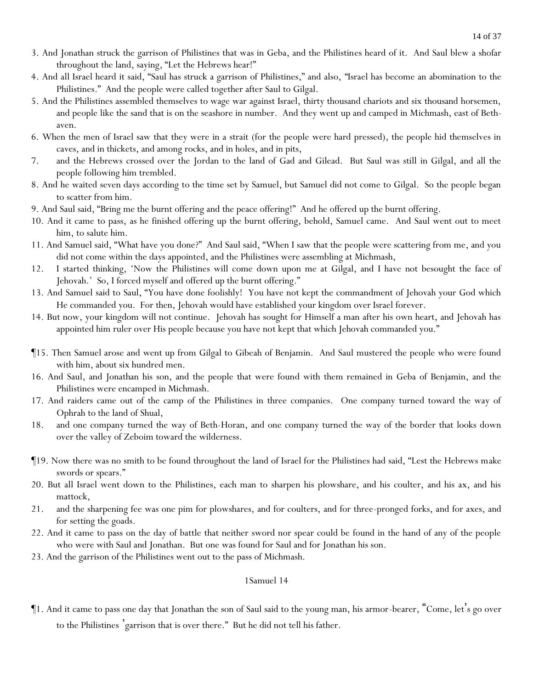- 3. And Jonathan struck the garrison of Philistines that was in Geba, and the Philistines heard of it. And Saul blew a shofar throughout the land, saying, "Let the Hebrews hear!"
- 4. And all Israel heard it said, "Saul has struck a garrison of Philistines," and also, *"*Israel has become an abomination to the Philistines." And the people were called together after Saul to Gilgal.
- 5. And the Philistines assembled themselves to wage war against Israel, thirty thousand chariots and six thousand horsemen, and people like the sand that is on the seashore in number. And they went up and camped in Michmash, east of Bethaven.
- 6. When the men of Israel saw that they were in a strait (for the people were hard pressed), the people hid themselves in caves, and in thickets, and among rocks, and in holes, and in pits,
- 7. and the Hebrews crossed over the Jordan to the land of Gad and Gilead. But Saul was still in Gilgal, and all the people following him trembled.
- 8. And he waited seven days according to the time set by Samuel, but Samuel did not come to Gilgal. So the people began to scatter from him.
- 9. And Saul said, "Bring me the burnt offering and the peace offering!" And he offered up the burnt offering.
- 10. And it came to pass, as he finished offering up the burnt offering, behold, Samuel came. And Saul went out to meet him, to salute him.
- 11. And Samuel said, "What have you done?" And Saul said, "When I saw that the people were scattering from me, and you did not come within the days appointed, and the Philistines were assembling at Michmash,
- 12. I started thinking, 'Now the Philistines will come down upon me at Gilgal, and I have not besought the face of Jehovah.' So, I forced myself and offered up the burnt offering."
- 13. And Samuel said to Saul, "You have done foolishly! You have not kept the commandment of Jehovah your God which He commanded you. For then, Jehovah would have established your kingdom over Israel forever.
- 14. But now, your kingdom will not continue. Jehovah has sought for Himself a man after his own heart, and Jehovah has appointed him ruler over His people because you have not kept that which Jehovah commanded you."
- ¶15. Then Samuel arose and went up from Gilgal to Gibeah of Benjamin. And Saul mustered the people who were found with him, about six hundred men.
- 16. And Saul, and Jonathan his son, and the people that were found with them remained in Geba of Benjamin, and the Philistines were encamped in Michmash.
- 17. And raiders came out of the camp of the Philistines in three companies. One company turned toward the way of Ophrah to the land of Shual,
- 18. and one company turned the way of Beth-Horan, and one company turned the way of the border that looks down over the valley of Zeboim toward the wilderness.
- ¶19. Now there was no smith to be found throughout the land of Israel for the Philistines had said, "Lest the Hebrews make swords or spears."
- 20. But all Israel went down to the Philistines, each man to sharpen his plowshare, and his coulter, and his ax, and his mattock,
- 21. and the sharpening fee was one pim for plowshares, and for coulters, and for three-pronged forks, and for axes, and for setting the goads.
- 22. And it came to pass on the day of battle that neither sword nor spear could be found in the hand of any of the people who were with Saul and Jonathan. But one was found for Saul and for Jonathan his son.
- 23. And the garrison of the Philistines went out to the pass of Michmash.

¶1. And it came to pass one day that Jonathan the son of Saul said to the young man, his armor-bearer, "Come, let's go over to the Philistines 'garrison that is over there." But he did not tell his father.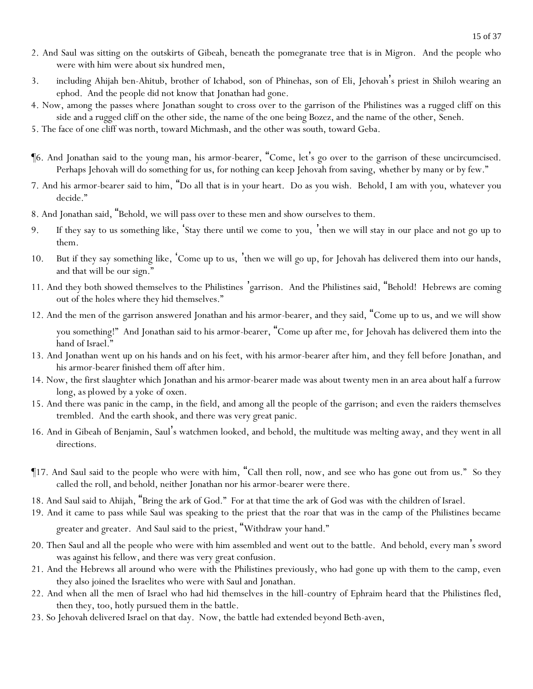- 2. And Saul was sitting on the outskirts of Gibeah, beneath the pomegranate tree that is in Migron. And the people who were with him were about six hundred men,
- 3. including Ahijah ben-Ahitub, brother of Ichabod, son of Phinehas, son of Eli, Jehovah's priest in Shiloh wearing an ephod. And the people did not know that Jonathan had gone.
- 4. Now, among the passes where Jonathan sought to cross over to the garrison of the Philistines was a rugged cliff on this side and a rugged cliff on the other side, the name of the one being Bozez, and the name of the other, Seneh.
- 5. The face of one cliff was north, toward Michmash, and the other was south, toward Geba.
- ¶6. And Jonathan said to the young man, his armor-bearer, "Come, let's go over to the garrison of these uncircumcised. Perhaps Jehovah will do something for us, for nothing can keep Jehovah from saving, *whether* by many or by few."
- 7. And his armor-bearer said to him, "Do all that is in your heart. Do as you wish. Behold, I am with you, whatever you decide."
- 8. And Jonathan said, "Behold, we will pass over to these men and show ourselves to them.
- 9. If they say to us something like, 'Stay there until we come to *y*ou, 'then we will stay in our place and not go up to them.
- 10. But if they say something like, 'Come up to us, 'then we will go up, for Jehovah has delivered them into our hands, and that will be our sign."
- 11. And they both showed themselves to the Philistines 'garrison. And the Philistines said, "Behold! Hebrews are coming out of the holes where they hid themselves."
- 12. And the men of the garrison answered Jonathan and his armor-bearer, and they said, "Come up to us, and we will show you something!" And Jonathan said to his armor-bearer, "Come up after me, for Jehovah has delivered them into the hand of Israel."
- 13. And Jonathan went up on his hands and on his feet, with his armor-bearer after him, and they fell before Jonathan, and his armor-bearer finished them off after him.
- 14. Now, the first slaughter which Jonathan and his armor-bearer made was about twenty men in an area about half a furrow long, *as plowed by* a yoke *of oxen*.
- 15. And there was panic in the camp, in the field, and among all the people of the garrison; and even the raiders themselves trembled. And the earth shook, and there was very great panic.
- 16. And in Gibeah of Benjamin, Saul's watchmen looked, and behold, the multitude was melting away, and they went in all directions.
- ¶17. And Saul said to the people who were with him, "Call then roll, now, and see who has gone out from us." So they called the roll, and behold, neither Jonathan nor his armor-bearer were there.
- 18. And Saul said to Ahijah, "Bring the ark of God." For at that time the ark of God was *with* the children of Israel.
- 19. And it came to pass while Saul was speaking to the priest that the roar that was in the camp of the Philistines became greater and greater. And Saul said to the priest, "Withdraw your hand."
- 20. Then Saul and all the people who were with him assembled and went out to the battle. And behold, every man's sword was against his fellow, and there was very great confusion.
- 21. And the Hebrews all around who were with the Philistines previously, who had gone up with them to the camp, even they also joined the Israelites who were with Saul and Jonathan.
- 22. And when all the men of Israel who had hid themselves in the hill-country of Ephraim heard that the Philistines fled, then they, too, hotly pursued them in the battle.
- 23. So Jehovah delivered Israel on that day. Now, the battle had extended beyond Beth-aven,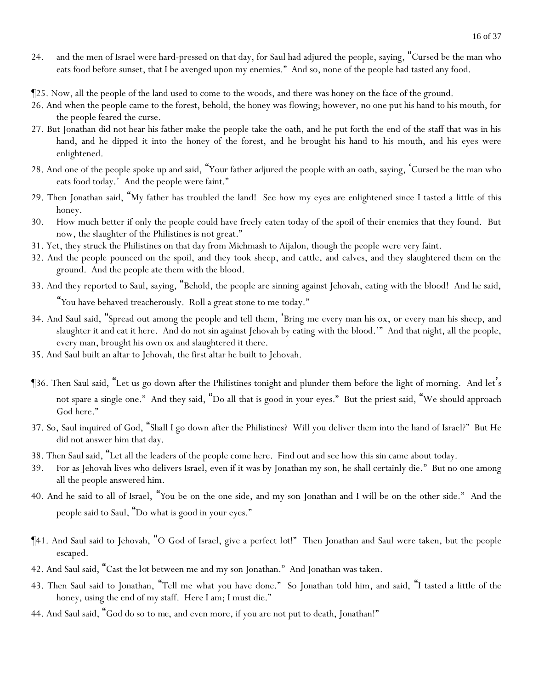- 24. and the men of Israel were hard-pressed on that day, for Saul had adjured the people, saying, "Cursed be the man who eats food before sunset, that I be avenged upon my enemies." And so, none of the people had tasted any food.
- ¶25. Now, all the people of the land used to come to the woods, and there was honey on the face of the ground.
- 26. And when the people came to the forest, behold, the honey was flowing; however, no one put his hand to his mouth, for the people feared the curse.
- 27. But Jonathan did not hear his father make the people take the oath, and he put forth the end of the staff that was in his hand, and he dipped it into the honey of the forest, and he brought his hand to his mouth, and his eyes were enlightened.
- 28. And one of the people spoke up and said, "Your father adjured the people with an oath, saying, 'Cursed be the man who eats food today.' And the people were faint."
- 29. Then Jonathan said, "My father has troubled the land! See how my eyes are enlightened since I tasted a little of this honey.
- 30. How much better if only the people could have freely eaten today of the spoil of their enemies that they found. But now, the slaughter of the Philistines is not great."
- 31. Yet, they struck the Philistines on that day from Michmash to Aijalon, though the people were very faint.
- 32. And the people pounced on the spoil, and they took sheep, and cattle, and calves, and they slaughtered them on the ground. And the people ate them with the blood.
- 33. And they reported to Saul, saying, "Behold, the people are sinning against Jehovah, eating with the blood! And he said, "*Y*ou have behaved treacherously. Roll a great stone to me today."
- 34. And Saul said, "Spread out among the people and tell them, 'Bring me every man his ox, or every man his sheep, and slaughter it and eat it here. And do not sin against Jehovah by eating with the blood.'" And that night, all the people, every man, brought his own ox and slaughtered it there.
- 35. And Saul built an altar to Jehovah, the first altar he built to Jehovah.
- ¶36. Then Saul said, "Let us go down after the Philistines tonight and plunder them before the light of morning. And let 's not spare a single one." And they said, "Do all that is good in your eyes." But the priest said, "We should approach God here."
- 37. So, Saul inquired of God, "Shall I go down after the Philistines? Will you deliver them into the hand of Israel?" But He did not answer him that day.
- 38. Then Saul said, "Let all the leaders of the people come here. Find out and see how this sin came about today.
- 39. For as Jehovah lives who delivers Israel, even if it was by Jonathan my son, he shall certainly die." But no one among all the people answered him.
- 40. And he said to all of Israel, "*Y*ou be on the one side, and my son Jonathan and I will be on the other side." And the people said to Saul, "Do what is good in your eyes."
- ¶41. And Saul said to Jehovah, "O God of Israel, give a perfect *lot*!" Then Jonathan and Saul were taken, but the people escaped.
- 42. And Saul said, "Cast *the lot* between me and my son Jonathan." And Jonathan was taken.
- 43. Then Saul said to Jonathan, "Tell me what you have done." So Jonathan told him, and said, "I tasted a little of the honey, using the end of my staff. Here I am; I must die."
- 44. And Saul said, "God do so *to me*, and even more, if you are not put to death, Jonathan!"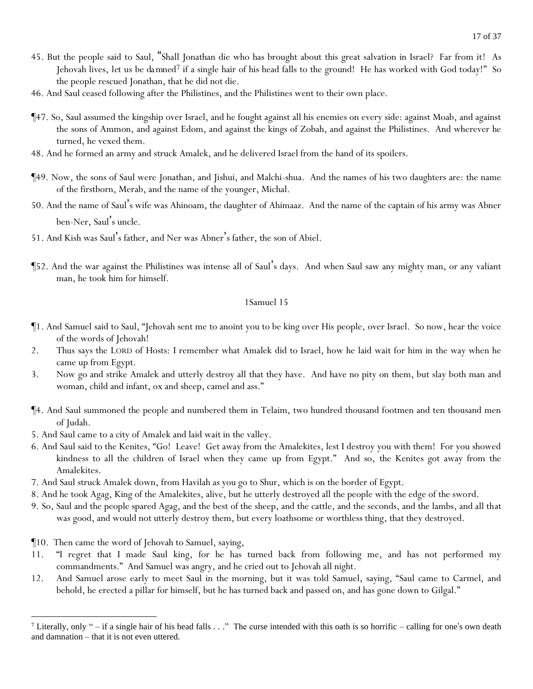- 45. But the people said to Saul, "Shall Jonathan die who has brought about this great salvation in Israel? Far from it! As Jehovah lives, *let us be da mned<sup>7</sup>* if a single hair of his head falls to the ground! He has worked with God today!" So the people rescued Jonathan, that he did not die.
- 46. And Saul ceased following after the Philistines, and the Philistines went to their own place.
- ¶47. So, Saul assumed the kingship over Israel, and he fought against all his enemies on every side: against Moab, and against the sons of Ammon, and against Edom, and against the kings of Zobah, and against the Philistines. And wherever he turned, he vexed them.
- 48. And he formed an army and struck Amalek, and he delivered Israel from the hand of its spoilers.
- ¶49. Now, the sons of Saul were Jonathan, and Jishui, and Malchi-shua. And the names of his two daughters are: the name of the firstborn, Merab, and the name of the younger, Michal.
- 50. And the name of Saul's wife was Ahinoam, the daughter of Ahimaaz. And the name of the captain of his army was Abner ben-Ner, Saul's uncle.
- 51. And Kish was Saul's father, and Ner was Abner's father, the son of Abiel.
- ¶52. And the war against the Philistines was intense all of Saul's days. And when Saul saw any mighty man, or any valiant man, he took him for himself.

- ¶1. And Samuel said to Saul, "Jehovah sent me to anoint you to be king over His people, over Israel. So now, hear the voice of the words of Jehovah!
- 2. Thus says the LORD of Hosts: I remember what Amalek did to Israel, how he laid wait for him in the way when he came up from Egypt.
- 3. Now go and strike Amalek and utterly destroy all that they have. And have no pity on them, but slay both man and woman, child and infant, ox and sheep, camel and ass."
- ¶4. And Saul summoned the people and numbered them in Telaim, two hundred thousand footmen and ten thousand men of Judah.
- 5. And Saul came to a city of Amalek and laid wait in the valley.
- 6. And Saul said to the Kenites, "Go! Leave! Get away from the Amalekites, lest I destroy you with them! For you showed kindness to all the children of Israel when they came up from Egypt." And so, the Kenites got away from the Amalekites.
- 7. And Saul struck Amalek down, from Havilah as you go to Shur, which is on the border of Egypt.
- 8. And he took Agag, King of the Amalekites, alive, but he utterly destroyed all the people with the edge of the sword.
- 9. So, Saul and the people spared Agag, and the best of the sheep, and the cattle, and the seconds, and the lambs, and all that was good, and would not utterly destroy them, but every loathsome or worthless thing, that they destroyed.
- ¶10. Then came the word of Jehovah to Samuel, saying,
- 11. "I regret that I made Saul king, for he has turned back from following me, and has not performed my commandments." And Samuel was angry, and he cried out to Jehovah all night.
- 12. And Samuel arose early to meet Saul in the morning, but it was told Samuel, saying, "Saul came to Carmel, and behold, he erected a pillar for himself, but he has turned back and passed on, and has gone down to Gilgal."

<sup>&</sup>lt;sup>7</sup> Literally, only " – if a single hair of his head falls  $\ldots$  " The curse intended with this oath is so horrific – calling for one's own death and damnation – that it is not even uttered.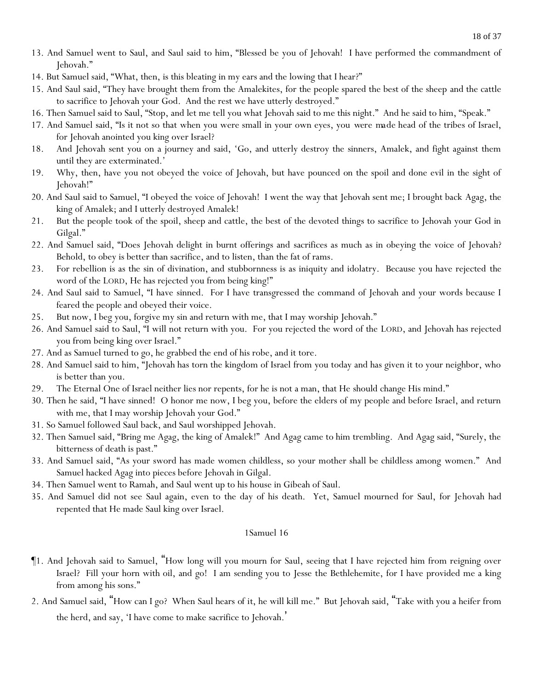- 13. And Samuel went to Saul, and Saul said to him, "Blessed be you of Jehovah! I have performed the commandment of Jehovah."
- 14. But Samuel said, "What, then, is this bleating in my ears and the lowing that I hear?"
- 15. And Saul said, "They have brought them from the Amalekites, for the people spared the best of the sheep and the cattle to sacrifice to Jehovah your God. And the rest we have utterly destroyed."
- 16. Then Samuel said to Saul, "Stop, and let me tell you what Jehovah said to me this night." And he said to him, "Speak."
- 17. And Samuel said, "Is it not so that when you were small in your own eyes, you *were made* head of the tribes of Israel, for Jehovah anointed you king over Israel?
- 18. And Jehovah sent you on a journey and said, 'Go, and utterly destroy the sinners, Amalek, and fight against them until they are exterminated.'
- 19. Why, then, have you not obeyed the voice of Jehovah, but have pounced on the spoil and done evil in the sight of Jehovah!"
- 20. And Saul said to Samuel, "I obeyed the voice of Jehovah! I went the way that Jehovah sent me; I brought back Agag, the king of Amalek; and I utterly destroyed Amalek!
- 21. But the people took of the spoil, sheep and cattle, the best of the devoted things to sacrifice to Jehovah your God in Gilgal."
- 22. And Samuel said, "Does Jehovah delight in burnt offerings and sacrifices as much as in obeying the voice of Jehovah? Behold, to obey is better than sacrifice, and to listen, than the fat of rams.
- 23. For rebellion is as the sin of divination, and stubbornness is as iniquity and idolatry. Because you have rejected the word of the LORD, He has rejected you from being king!"
- 24. And Saul said to Samuel, "I have sinned. For I have transgressed the command of Jehovah and your words because I feared the people and obeyed their voice.
- 25. But now, I beg you, forgive my sin and return with me, that I may worship Jehovah."
- 26. And Samuel said to Saul, "I will not return with you. For you rejected the word of the LORD, and Jehovah has rejected you from being king over Israel."
- 27. And as Samuel turned to go, he grabbed the end of his robe, and it tore.
- 28. And Samuel said to him, "Jehovah has torn the kingdom of Israel from you today and has given it to your neighbor, who is better than you.
- 29. The Eternal One of Israel neither lies nor repents, for he is not a man, that He should change His mind."
- 30. Then he said, "I have sinned! O honor me now, I beg you, before the elders of my people and before Israel, and return with me, that I may worship Jehovah your God."
- 31. So Samuel followed Saul back, and Saul worshipped Jehovah.
- 32. Then Samuel said, "Bring me Agag, the king of Amalek!" And Agag came to him trembling. And Agag said, "Surely, the bitterness of death is past."
- 33. And Samuel said, "As your sword has made women childless, so your mother shall be childless among women." And Samuel hacked Agag into pieces before Jehovah in Gilgal.
- 34. Then Samuel went to Ramah, and Saul went up to his house in Gibeah of Saul.
- 35. And Samuel did not see Saul again, even to the day of his death. Yet, Samuel mourned for Saul, for Jehovah had repented that He made Saul king over Israel.

- ¶1. And Jehovah said to Samuel, "How long will you mourn for Saul, seeing that I have rejected him from reigning over Israel? Fill your horn with oil, and go! I am sending you to Jesse the Bethlehemite, for I have provided me a king from among his sons."
- 2. And Samuel said, "How can I go? When Saul hears *of it*, he will kill me." But Jehovah said, "Take with you a heifer from the herd, and say, 'I have come to make sacrifice to Jehovah. '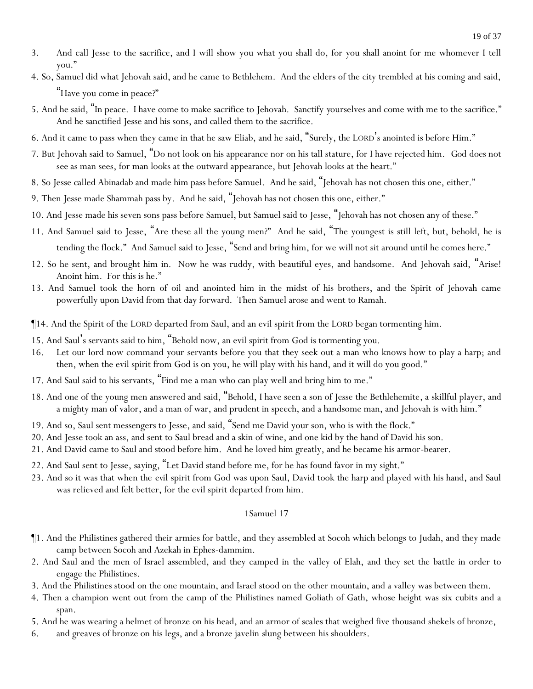- 3. And call Jesse to the sacrifice, and I will show you what you shall do, for you shall anoint for me whomever I tell you."
- 4. So, Samuel did what Jehovah said, and he came to Bethlehem. And the elders of the city trembled at his coming and said, "Have you come in peace?"
- 5. And he said, "In peace. I have come to make sacrifice to Jehovah. Sanctify *y*ourselves and come with me to the sacrifice." And he sanctified Jesse and his sons, and called them to the sacrifice.
- 6. And it came to pass when they came in that he saw Eliab, and he said, "Surely, the LORD's anointed is before Him."
- 7. But Jehovah said to Samuel, "Do not look on his appearance nor on his tall stature, for I have rejected him. *God does* not *see* as man sees, for man looks at the outward appearance, but Jehovah looks at the heart."
- 8. So Jesse called Abinadab and made him pass before Samuel. And he said, "Jehovah has not chosen this one, either."
- 9. Then Jesse made Shammah pass by. And he said, "Jehovah has not chosen this one, either."
- 10. And Jesse made his seven sons pass before Samuel, but Samuel said to Jesse, "Jehovah has not chosen any of these."
- 11. And Samuel said to Jesse, "Are these all the young men?" And he said, "The youngest is still left, but, behold, he is tending the flock." And Samuel said to Jesse, "Send and bring him, for we will not sit around until he comes here."
- 12. So he sent, and brought him in. Now he was ruddy, with beautiful eyes, and handsome. And Jehovah said, "Arise! Anoint him. For this is he."
- 13. And Samuel took the horn of oil and anointed him in the midst of his brothers, and the Spirit of Jehovah came powerfully upon David from that day forward. Then Samuel arose and went to Ramah.
- ¶14. And the Spirit of the LORD departed from Saul, and an evil spirit from the LORD began tormenting him.
- 15. And Saul's servants said to him, "Behold now, an evil spirit from God is tormenting you.
- 16. Let our lord now command your servants before you that they seek out a man who knows how to play a harp; and then, when the evil spirit from God is on you, he will play with his hand, and it will do you good."
- 17. And Saul said to his servants, "Find me a man who can play well and bring him to me."
- 18. And one of the young men answered and said, "Behold, I have seen a son of Jesse the Bethlehemite*,* a skillful player, and a mighty man of valor, and a man of war, and prudent in speech, and a handsome man, and Jehovah is with him."
- 19. And so, Saul sent messengers to Jesse, and said, "Send me David your son, who is with the flock."
- 20. And Jesse took an ass, and sent to Saul bread and a skin of wine, and one kid by the hand of David his son.
- 21. And David came to Saul and stood before him. And he loved him greatly, and he became his armor-bearer.
- 22. And Saul sent to Jesse, saying, "Let David stand before me, for he has found favor in my sight."
- 23. And so it was that when the *evil* spirit from God was upon Saul, David took the harp and played with his hand, and Saul was relieved and felt better, for the evil spirit departed from him.

- ¶1. And the Philistines gathered their armies for battle, and they assembled at Socoh which belongs to Judah, and they made camp between Socoh and Azekah in Ephes-dammim.
- 2. And Saul and the men of Israel assembled, and they camped in the valley of Elah, and they set the battle in order to engage the Philistines.
- 3. And the Philistines stood on the one mountain, and Israel stood on the other mountain, and a valley was between them.
- 4. Then a champion went out from the camp of the Philistines named Goliath of Gath, whose height was six cubits and a span.
- 5. And he was wearing a helmet of bronze on his head, and an armor of scales that weighed five thousand shekels of bronze,
- 6. and greaves of bronze on his legs, and a bronze javelin *slung* between his shoulders.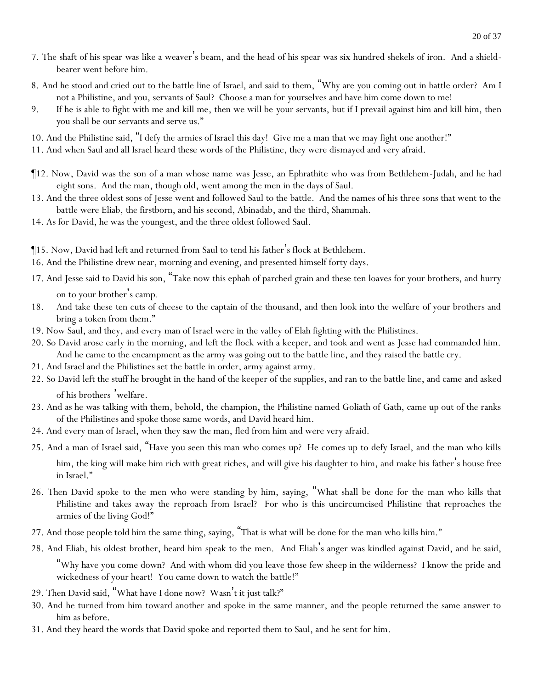- 7. The shaft of his spear was like a weaver's beam, and the head of his spear was six hundred shekels of iron. And a shieldbearer went before him.
- 8. And he stood and cried out to the battle line of Israel, and said to them, "Why are *y*ou coming out in battle order? Am I not a Philistine, and *y*ou, servants of Saul? Choose a man for *y*ourselves and have him come down to me!
- 9. If he is able to fight with me and kill me, then we will be *y*our servants, but if I prevail against him and kill him, then *y*ou shall be our servants and serve us."
- 10. And the Philistine said, "I defy the armies of Israel this day! Give me a man that we may fight one another!"
- 11. And when Saul and all Israel heard these words of the Philistine, they were dismayed and very afraid.
- ¶12. Now, David was the son of a man whose name was Jesse, an Ephrathite who was from Bethlehem-Judah, and he had eight sons. And the man, though old, went among the men in the days of Saul.
- 13. And the three oldest sons of Jesse went and followed Saul to the battle. And the names of his three sons that went to the battle were Eliab, the firstborn, and his second, Abinadab, and the third, Shammah.
- 14. As for David, he was the youngest, and the three oldest followed Saul.
- ¶15. Now, David had left and returned from Saul to tend his father's flock at Bethlehem.
- 16. And the Philistine drew near, morning and evening, and presented himself forty days.
- 17. And Jesse said to David his son, "Take now this ephah of parched grain and these ten loaves for your brothers, and hurry on to your brother's camp.
- 18. And take these ten cuts of cheese to the captain of the thousand, and then look into the welfare of your brothers and bring a token from them."
- 19. Now Saul, and they, and every man of Israel were in the valley of Elah fighting with the Philistines.
- 20. So David arose early in the morning, and left the flock with a keeper, and took and went as Jesse had commanded him. And he came to the encampment as the army was going out to the battle line, and they raised the battle cry.
- 21. And Israel and the Philistines set the battle in order, army against army.
- 22. So David left the stuff he brought in the hand of the keeper of the supplies, and ran to the battle line, and came and asked of his brothers 'welfare.
- 23. And as he was talking with them, behold, the champion, the Philistine named Goliath of Gath, came up out of the ranks of the Philistines and spoke those same words, and David heard him.
- 24. And every man of Israel, when they saw the man, fled from him and were very afraid.
- 25. And a man of Israel said, "Have you seen this man who comes up? He comes up to defy Israel, and the man who kills him, the king will make him rich with great riches, and will give his daughter to him, and make his father's house free in Israel."
- 26. Then David spoke to the men who were standing by him, saying, "What shall be done for the man who kills that Philistine and takes away the reproach from Israel? For who is this uncircumcised Philistine that reproaches the armies of the living God!"
- 27. And those people told him the same thing, saying, "That is what will be done for the man who kills him."
- 28. And Eliab, his oldest brother, heard him speak to the men. And Eliab's anger was kindled against David, and he said,

"Why have you come down? And with whom did you leave those few sheep in the wilderness? I know the pride and wickedness of your heart! You came down to watch the battle!"

- 29. Then David said, "What have I done now? Wasn't it *just* talk?"
- 30. And he turned from him toward another and spoke in the same manner, and the people returned the same answer to him as before.
- 31. And they heard the words that David spoke and reported them to Saul, and he sent for him.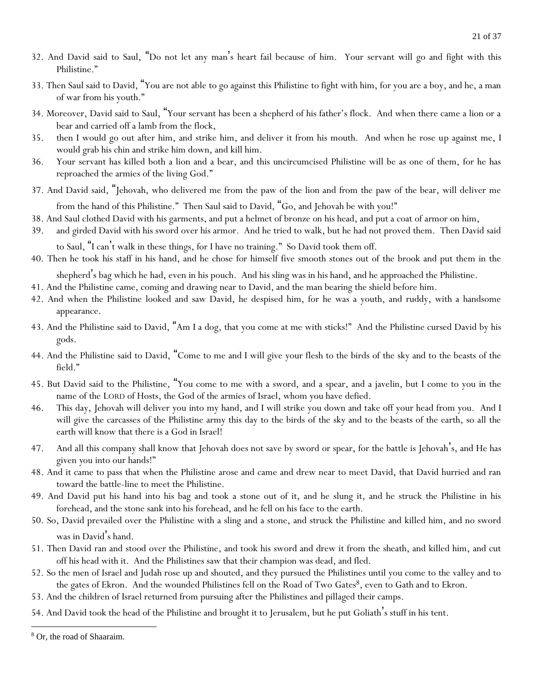- 32. And David said to Saul, "Do not let any man's heart fail because of him. Your servant will go and fight with this Philistine."
- 33. Then Saul said to David, "You are not able to go against this Philistine to fight with him, for you are a boy, and he, a man of war from his youth."
- 34. Moreover, David said to Saul, "Your servant has been a shepherd of his father's flock. And when there came a lion or a bear and carried off a lamb from the flock,
- 35. then I would go out after him, and strike him, and deliver it from his mouth. And when he rose up against me, I would grab his chin and strike him down, and kill him.
- 36. Your servant has killed both a lion and a bear, and this uncircumcised Philistine will be as one of them, for he has reproached the armies of the living God."
- 37. And David said, "Jehovah, who delivered me from the paw of the lion and from the paw of the bear, will deliver me from the hand of this Philistine." Then Saul said to David, "Go, and Jehovah be with you!"

38. And Saul clothed David with his garments, and put a helmet of bronze on his head, and put a coat of armor on him,

- 39. and girded David with his sword over his armor. And he tried to walk, but he had not proved them. Then David said to Saul, "I can't walk in these things, for I have no training." So David took them off.
- 40. Then he took his staff in his hand, and he chose for himself five smooth stones out of the brook and put them in the shepherd's bag which he had, even in his pouch. And his sling was in his hand, and he approached the Philistine.
- 41. And the Philistine came, coming and drawing near to David, and the man bearing the shield before him.
- 42. And when the Philistine looked and saw David, he despised him, for he was a youth, and ruddy, with a handsome appearance.
- 43. And the Philistine said to David, "Am I a dog, that you come at me with sticks!" And the Philistine cursed David by his gods.
- 44. And the Philistine said to David, "Come to me and I will give your flesh to the birds of the sky and to the beasts of the field."
- 45. But David said to the Philistine, "You come to me with a sword, and a spear, and a javelin, but I come to you in the name of the LORD of Hosts, the God of the armies of Israel, whom you have defied.
- 46. This day, Jehovah will deliver you into my hand, and I will strike you down and take off your head from you. And I will give the carcasses of the Philistine army this day to the birds of the sky and to the beasts of the earth, so all the earth will know that there is a God in Israel!
- 47. And all this company shall know that Jehovah does not save by sword or spear, for the battle is Jehovah's, and He has given *y*ou into our hands!"
- 48. And it came to pass that when the Philistine arose and came and drew near to meet David, that David hurried and ran toward the battle-line to meet the Philistine.
- 49. And David put his hand into his bag and took a stone out of it, and he slung it, and he struck the Philistine in his forehead, and the stone sank into his forehead, and he fell on his face to the earth.
- 50. So, David prevailed over the Philistine with a sling and a stone, and struck the Philistine and killed him, and no sword was in David's hand.
- 51. Then David ran and stood over the Philistine, and took his sword and drew it from the sheath, and killed him, and cut off his head with it. And the Philistines saw that their champion was dead, and fled.
- 52. So the men of Israel and Judah rose up and shouted, and they pursued the Philistines until you come to the valley and to the gates of Ekron. And the wounded Philistines fell on the Road of Two Gates<sup>8</sup>, even to Gath and to Ekron.
- 53. And the children of Israel returned from pursuing after the Philistines and pillaged their camps.
- 54. And David took the head of the Philistine and brought it to Jerusalem, but he put Goliath's stuff in his tent.

<sup>8</sup> Or, the road of Shaaraim.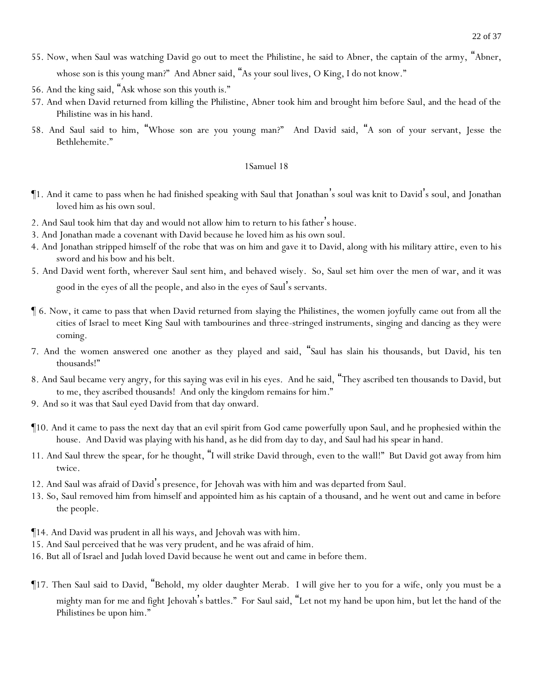- 55. Now, when Saul was watching David go out to meet the Philistine, he said to Abner, the captain of the army, "Abner, whose son is this young man?" And Abner said, "As your soul lives, O King, I do not know."
- 56. And the king said, "Ask whose son this youth is."
- 57. And when David returned from killing the Philistine, Abner took him and brought him before Saul, and the head of the Philistine was in his hand.
- 58. And Saul said to him, "Whose son are you young man?" And David said, "A son of your servant, Jesse the Bethlehemite."

- ¶1. And it came to pass when he had finished speaking with Saul that Jonathan's soul was knit to David's soul, and Jonathan loved him as his own soul.
- 2. And Saul took him that day and would not allow him to return to his father's house.
- 3. And Jonathan made a covenant with David because he loved him as his own soul.
- 4. And Jonathan stripped himself of the robe that was on him and gave it to David, along with his military attire, even to his sword and his bow and his belt.
- 5. And David went forth, wherever Saul sent him, and behaved wisely. So, Saul set him over the men of war, and it was good in the eyes of all the people, and also in the eyes of Saul's servants.
- ¶ 6. Now, it came to pass that when David returned from slaying the Philistines, the women joyfully came out from all the cities of Israel to meet King Saul with tambourines and three-stringed instruments, singing and dancing as they were coming.
- 7. And the women answered one another as they played and said, "Saul has slain his thousands, but David, his ten thousands!"
- 8. And Saul became very angry, for this saying was evil in his eyes. And he said, "They ascribed ten thousands to David, but to me, they ascribed thousands! And only the kingdom remains for him*.*"
- 9. And so it was that Saul eyed David from that day onward.
- ¶10. And it came to pass the next day that an evil spirit from God came powerfully upon Saul, and he prophesied within the house. And David was playing with his hand, as he did from day to day, and Saul had his spear in hand.
- 11. And Saul threw the spear, for he thought, "I will strike David through, even to the wall!" But David got away from him twice.
- 12. And Saul was afraid of David's presence, for Jehovah was with him and was departed from Saul.
- 13. So, Saul removed him from himself and appointed him as his captain of a thousand, and he went out and came in before the people.
- ¶14. And David was prudent in all his ways, and Jehovah was with him.
- 15. And Saul perceived that he was very prudent, and he was afraid of him.
- 16. But all of Israel and Judah loved David because he went out and came in before them.
- ¶17. Then Saul said to David, "Behold, my older daughter Merab. I will give her to you for a wife, only you must be a mighty man for me and fight Jehovah's battles." For Saul said, "Let not my hand be upon him, but let the hand of the Philistines be upon him."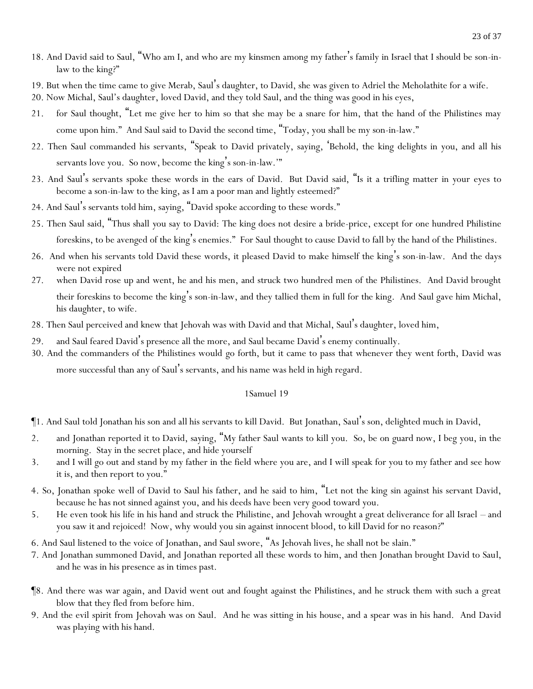- 18. And David said to Saul, "Who am I, and who are my kinsmen among my father's family in Israel that I should be son-inlaw to the king?"
- 19. But when the time came to give Merab, Saul's daughter, to David, she was given to Adriel the Meholathite for a wife.
- 20. Now Michal, Saul's daughter, loved David, and they told Saul, and the thing was good in his eyes,
- 21. for Saul thought, "Let me give her to him so that she may be a snare for him, that the hand of the Philistines may come upon him." And Saul said to David the second time, "Today, you shall be my son-in-law."
- 22. Then Saul commanded his servants, "Speak to David privately, saying, 'Behold, the king delights in you, and all his servants love you. So now, become the king's son-in-law.'"
- 23. And Saul's servants spoke these words in the ears of David. But David said, "Is it a trifling matter in *y*our eyes to become a son-in-law to the king, as I am a poor man and lightly esteemed?"
- 24. And Saul's servants told him, saying, "David spoke according to these words."
- 25. Then Saul said, "Thus shall *y*ou say to David: The king does not desire a bride-price, except for one hundred Philistine foreskins, to be avenged of the king's enemies." For Saul thought to cause David to fall by the hand of the Philistines.
- 26. And when his servants told David these words, it pleased David to make himself the king's son-in-law. And the days were not expired
- 27. when David rose up and went, he and his men, and struck two hundred men of the Philistines. And David brought their foreskins to become the king's son-in-law, and they tallied them in full for the king. And Saul gave him Michal, his daughter, to wife.
- 28. Then Saul perceived and knew that Jehovah was with David and that Michal, Saul's daughter, loved him,
- and Saul feared David's presence all the more, and Saul became David's enemy continually.
- 30. And the commanders of the Philistines would go forth, but it came to pass that whenever they went forth, David was more successful than any of Saul's servants, and his name was held in high regard.

- ¶1. And Saul told Jonathan his son and all his servants to kill David. But Jonathan, Saul's son, delighted much in David,
- 2. and Jonathan reported it to David, saying, "My father Saul wants to kill you. So, be on guard now, I beg you, in the morning. Stay in the secret place, and hide yourself
- 3. and I will go out and stand by my father in the field where you are, and I will speak for you to my father and see how it is, and then report to you."
- 4. So, Jonathan spoke well of David to Saul his father, and he said to him, "Let not the king sin against his servant David, because he has not sinned against you, and his deeds have been very good toward you.
- 5. He even took his life in his hand and struck the Philistine, and Jehovah wrought a great deliverance for all Israel and you saw it and rejoiced! Now, why would you sin against innocent blood, to kill David for no reason?"
- 6. And Saul listened to the voice of Jonathan, and Saul swore, "As Jehovah lives, he shall not be slain."
- 7. And Jonathan summoned David, and Jonathan reported all these words to him, and then Jonathan brought David to Saul, and he was in his presence as in times past.
- ¶8. And there was war again, and David went out and fought against the Philistines, and he struck them with such a great blow that they fled from before him.
- 9. And the evil spirit from Jehovah was on Saul. And he was sitting in his house, and a spear was in his hand. And David was playing with his hand.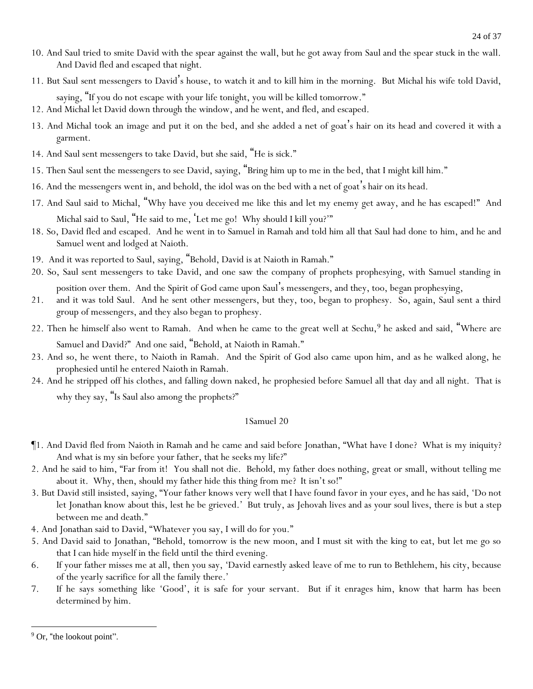- 10. And Saul tried to smite David with the spear against the wall, but he got away from Saul and the spear stuck in the wall. And David fled and escaped that night.
- 11. But Saul sent messengers to David's house, to watch it and to kill him in the morning. But Michal his wife told David,

saying, "If you do not escape with your life tonight, you will be killed tomorrow."

12. And Michal let David down through the window, and he went, and fled, and escaped.

- 13. And Michal took an image and put it on the bed, and she added a net of goat's hair on its head and covered it with a garment.
- 14. And Saul sent messengers to take David, but she said, "He is sick."
- 15. Then Saul sent the messengers to see David, saying, "Bring him up to me in the bed, that I might kill him."
- 16. And the messengers went in, and behold, the idol was on the bed with a net of goat's hair on its head.
- 17. And Saul said to Michal, "Why have you deceived me like this and let my enemy get away, and he has escaped!" And Michal said to Saul, "He said to me, 'Let me go! Why should I kill you?'"
- 18. So, David fled and escaped. And he went in to Samuel in Ramah and told him all that Saul had done to him, and he and Samuel went and lodged at Naioth.
- 19. And it was reported to Saul, saying, "Behold, David is at Naioth in Ramah."
- 20. So, Saul sent messengers to take David, and one saw the company of prophets prophesying, with Samuel standing in position over them. And the Spirit of God came upon Saul's messengers, and they, too, began prophesying,
- 21. and it was told Saul. And he sent other messengers, but they, too, began to prophesy. So, again, Saul sent a third group of messengers, and they also began to prophesy.
- 22. Then he himself also went to Ramah. And when he came to the great well at Sechu,<sup>9</sup> he asked and said, "Where are

Samuel and David?" And one said, "Behold, at Naioth in Ramah."

- 23. And so, he went there, to Naioth in Ramah. And the Spirit of God also came upon him, and as he walked along, he prophesied until he entered Naioth in Ramah.
- 24. And he stripped off his clothes, and falling down naked, he prophesied before Samuel all that day and all night. That is why they say, "Is Saul also among the prophets?"

- ¶1. And David fled from Naioth in Ramah and he came and said before Jonathan, "What have I done? What is my iniquity? And what is my sin before your father, that he seeks my life?"
- 2. And he said to him, "Far from it! You shall not die. Behold, my father does nothing, great or small, without telling me about it. Why, then, should my father hide this thing from me? It isn't so!"
- 3. But David still insisted, saying, "Your father knows very well that I have found favor in your eyes, and he has said, 'Do not let Jonathan know about this, lest he be grieved.' But truly, as Jehovah lives and as your soul lives, there is but a step between me and death."
- 4. And Jonathan said to David, "Whatever you say, I will do for you."
- 5. And David said to Jonathan, "Behold, tomorrow is the new moon, and I must sit with the king to eat, but let me go so that I can hide myself in the field until the third evening.
- 6. If your father misses me at all, then you say, 'David earnestly asked leave of me to run to Bethlehem, his city, because of the yearly sacrifice for all the family there.'
- 7. If he says something like 'Good', it is safe for your servant. But if it enrages him, know that harm has been determined by him.

<sup>&</sup>lt;sup>9</sup> Or, "the lookout point".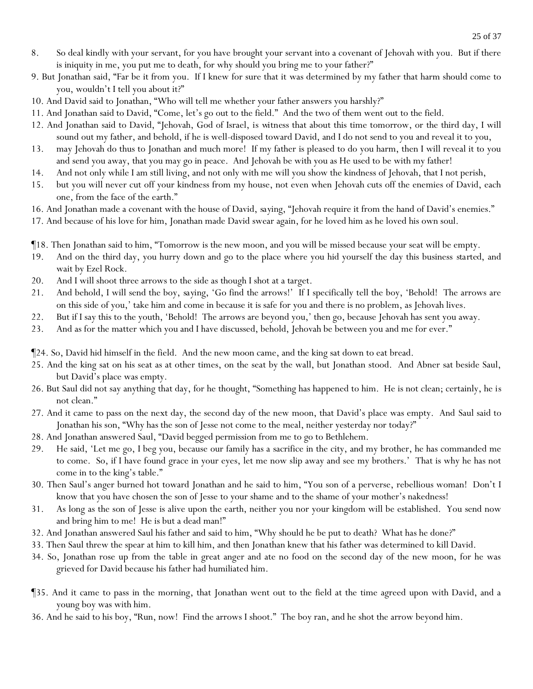- 8. So deal kindly with your servant, for you have brought your servant into a covenant of Jehovah with you. But if there is iniquity in me, you put me to death, for why should you bring me to your father?"
- 9. But Jonathan said, "Far be it from you. If I knew for sure that it was determined by my father that harm should come to you, wouldn't I tell you about it?"
- 10. And David said to Jonathan, "Who will tell me whether your father answers you harshly?"
- 11. And Jonathan said to David, "Come, let's go out to the field." And the two of them went out to the field.
- 12. And Jonathan said to David, "Jehovah, God of Israel, *is witness* that about this time tomorrow, or the third day, I will sound out my father, and behold, if he is well-disposed toward David, and I do not send to you and reveal it to you,
- 13. may Jehovah do thus to Jonathan and much more! If my father is pleased to do you harm, then I will reveal it to you and send you away, that you may go in peace. And Jehovah be with you as He used to be with my father!
- 14. And not only while I am still living, and not only with me will you show the kindness of Jehovah, that I not perish,
- 15. but you will never cut off your kindness from my house, not even when Jehovah cuts off the enemies of David, each one, from the face of the earth."
- 16. And Jonathan made a covenant with the house of David, *saying*, "Jehovah require it from the hand of David's enemies."
- 17. And because of his love for him, Jonathan made David swear again, for he loved him as he loved his own soul.
- ¶18. Then Jonathan said to him, "Tomorrow is the new moon, and you will be missed because your seat will be empty.
- 19. And on the third day, you hurry down and go to the place where you hid yourself the day this business *started*, and wait by Ezel Rock.
- 20. And I will shoot three arrows to the side as though I shot at a target.
- 21. And behold, I will send the boy, *saying*, 'Go find the arrows!' If I specifically tell the boy, 'Behold! The arrows are on this side of you,' take him and come in because it is safe for you and there is no problem, as Jehovah lives.
- 22. But if I say this to the youth, 'Behold! The arrows are beyond you,' then go, because Jehovah has sent you away.
- 23. And as for the matter which you and I have discussed, behold, Jehovah be between you and me for ever."
- ¶24. So, David hid himself in the field. And the new moon came, and the king sat down to eat bread.
- 25. And the king sat on his seat as at other times, on the seat by the wall, but Jonathan stood. And Abner sat beside Saul, but David's place was empty.
- 26. But Saul did not say anything that day, for he thought, "Something has happened to him. He is not clean; certainly, he is not clean."
- 27. And it came to pass on the next day, the second day of the new moon, that David's place was empty. And Saul said to Jonathan his son, "Why has the son of Jesse not come to the meal, neither yesterday nor today?"
- 28. And Jonathan answered Saul, "David begged permission from me to go to Bethlehem.
- 29. He said, 'Let me go, I beg you, because our family has a sacrifice in the city, and my brother, he has commanded me to come. So, if I have found grace in your eyes, let me now slip away and see my brothers.' That is why he has not come in to the king's table."
- 30. Then Saul's anger burned hot toward Jonathan and he said to him, "You son of a perverse, rebellious woman! Don't I know that you have chosen the son of Jesse to your shame and to the shame of your mother's nakedness!
- 31. As long as the son of Jesse is alive upon the earth, neither you nor your kingdom will be established. You send now and bring him to me! He is but a dead man!"
- 32. And Jonathan answered Saul his father and said to him, "Why should he be put to death? What has he done?"
- 33. Then Saul threw the spear at him to kill him, and then Jonathan knew that his father was determined to kill David.
- 34. So, Jonathan rose up from the table in great anger and ate no food on the second day of the new moon, for he was grieved for David because his father had humiliated him.
- ¶35. And it came to pass in the morning, that Jonathan went out to the field at the time agreed upon with David, and a young boy was with him.
- 36. And he said to his boy, "Run, now! Find the arrows I shoot." The boy ran, and he shot the arrow beyond him.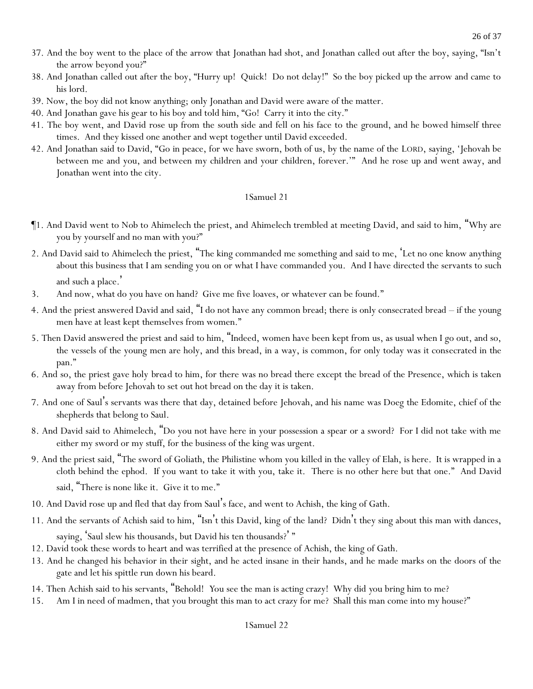- 37. And the boy went to the place of the arrow that Jonathan had shot, and Jonathan called out after the boy, saying, "Isn't the arrow beyond you?"
- 38. And Jonathan called out after the boy, "Hurry up! Quick! Do not delay!" So the boy picked up the arrow and came to his lord.
- 39. Now, the boy did not know anything; only Jonathan and David were aware of the matter.
- 40. And Jonathan gave his gear to his boy and told him, "Go! Carry it into the city."
- 41. The boy went, and David rose up from the south side and fell on his face to the ground, and he bowed himself three times. And they kissed one another and wept together until David exceeded.
- 42. And Jonathan said to David, "Go in peace, for we have sworn, both of us, by the name of the LORD, saying, 'Jehovah be between me and you, and between my children and your children, forever.'" And he rose up and went away, and Jonathan went into the city.

- ¶1. And David went to Nob to Ahimelech the priest, and Ahimelech trembled at meeting David, and said to him, "Why are you by yourself and no man with you?"
- 2. And David said to Ahimelech the priest, "The king commanded me something and said to me, 'Let no one know anything about this business that I am sending you on or what I have commanded you. And I have directed the servants to such and such a place. '
- 3. And now, what do you have on hand? Give me five loaves, or whatever can be found."
- 4. And the priest answered David and said, "I do not have any common bread; there is only consecrated bread if the young men have at least kept themselves from women."
- 5. Then David answered the priest and said to him, "Indeed, women have been kept from us, as usual when I go out, and so, the vessels of the young men are holy, and this bread, in a way, is common, for only today was it consecrated in the pan."
- 6. And so, the priest gave holy *bread* to him, for there was no bread there except the bread of the Presence, which is taken away from before Jehovah to set out hot bread on the day it is taken.
- 7. And one of Saul's servants was there that day, detained before Jehovah, and his name was Doeg the Edomite, chief of the shepherds that belong to Saul.
- 8. And David said to Ahimelech, "Do you not have here in your possession a spear or a sword? For I did not take with me either my sword or my stuff, for the business of the king was urgent.
- 9. And the priest said, "The sword of Goliath, the Philistine whom you killed in the valley of Elah, is here. It is wrapped in a cloth behind the ephod. If you want to take it with you, take it. There is no other here but that one." And David said, "There is none like it. Give it to me."
- 10. And David rose up and fled that day from Saul's face, and went to Achish, the king of Gath.
- 11. And the servants of Achish said to him, "Isn't this David, king of the land? Didn't they sing about this man with dances, saying, 'Saul slew his thousands, but David his ten thousands?' "
- 12. David took these words to heart and was terrified at the presence of Achish, the king of Gath.
- 13. And he changed his behavior in their sight, and he acted insane in their hands, and he made marks on the doors of the gate and let his spittle run down his beard.
- 14. Then Achish said to his servants, "Behold! *Y*ou see the man is acting crazy! Why did *y*ou bring him to me?
- 15. Am I in need of madmen, that you brought this man to act crazy for me? Shall this man come into my house?"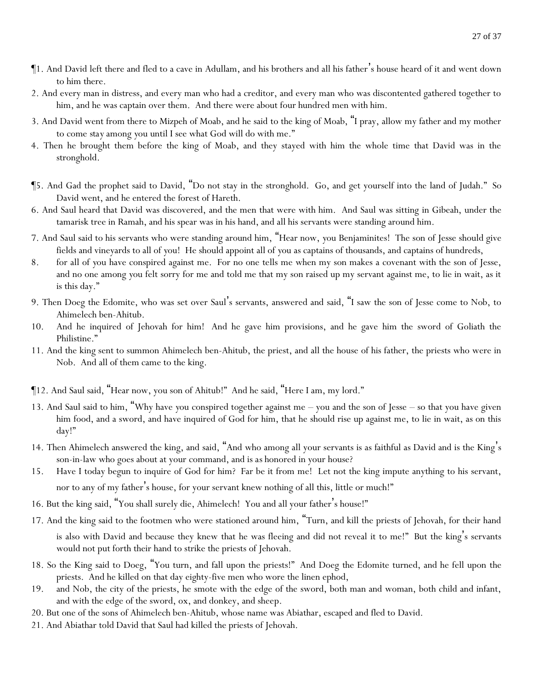- ¶1. And David left there and fled to a cave in Adullam, and his brothers and all his father's house heard of it and went down to him there.
- 2. And every man in distress, and every man who had a creditor, and every man who was discontented gathered together to him, and he was captain over them. And there were about four hundred men with him.
- 3. And David went from there to Mizpeh of Moab, and he said to the king of Moab, "I pray, allow my father and my mother to come *stay* among *y*ou until I see what God will do with me."
- 4. Then he brought them before the king of Moab, and they stayed with him the whole time that David was in the stronghold.
- ¶5. And Gad the prophet said to David, "Do not stay in the stronghold. Go, and get yourself into the land of Judah." So David went, and he entered the forest of Hareth.
- 6. And Saul heard that David was discovered, and the men that were with him. And Saul was sitting in Gibeah, under the tamarisk tree in Ramah, and his spear was in his hand, and all his servants were standing around him.
- 7. And Saul said to his servants who were standing around him, "Hear now, *y*ou Benjaminites! The son of Jesse should give fields and vineyards to all of *y*ou! He should appoint all of *y*ou as captains of thousands, and captains of hundreds,
- 8. for all of *y*ou have conspired against me. For no one tells me when my son makes a covenant with the son of Jesse, and no one among *y*ou felt sorry for me and told me that my son raised up my servant against me, to lie in wait, as it is this day."
- 9. Then Doeg the Edomite, who was set over Saul's servants, answered and said, "I saw the son of Jesse come to Nob, to Ahimelech ben-Ahitub.
- 10. And he inquired of Jehovah for him! And he gave him provisions, and he gave him the sword of Goliath the Philistine."
- 11. And the king sent to summon Ahimelech ben-Ahitub, the priest, and all the house of his father, the priests who were in Nob. And all of them came to the king.
- ¶12. And Saul said, "Hear now, you son of Ahitub!" And he said, "Here I am, my lord."
- 13. And Saul said to him, "Why have *y*ou conspired together against me you and the son of Jesse so that you have given him food, and a sword, and have inquired of God for him, that he should rise up against me, to lie in wait, as on this day!"
- 14. Then Ahimelech answered the king, and said, "And who among all your servants is as faithful as David and is the King's son-in-law who goes about at your command, and is *as* honored in your house?
- 15. Have I today begun to inquire of God for him? Far be it from me! Let not the king impute anything to his servant, nor to any of my father's house, for your servant knew nothing of all this, little or much!"
- 16. But the king said, "You shall surely die, Ahimelech! You and all your father's house!"
- 17. And the king said to the footmen who were stationed around him, "Turn, and kill the priests of Jehovah, for their hand is also with David and because they knew that he was fleeing and did not reveal it to me!" But the king's servants would not put forth their hand to strike the priests of Jehovah.
- 18. So the King said to Doeg, "You turn, and fall upon the priests!" And Doeg the Edomite turned, and he fell upon the priests. And he killed on that day eighty-five men who wore the linen ephod,
- 19. and Nob, the city of the priests, he smote with the edge of the sword, both man and woman, both child and infant, and with the edge of the sword, ox, and donkey, and sheep.
- 20. But one of the sons of Ahimelech ben-Ahitub, whose name was Abiathar, escaped and fled to David.
- 21. And Abiathar told David that Saul had killed the priests of Jehovah.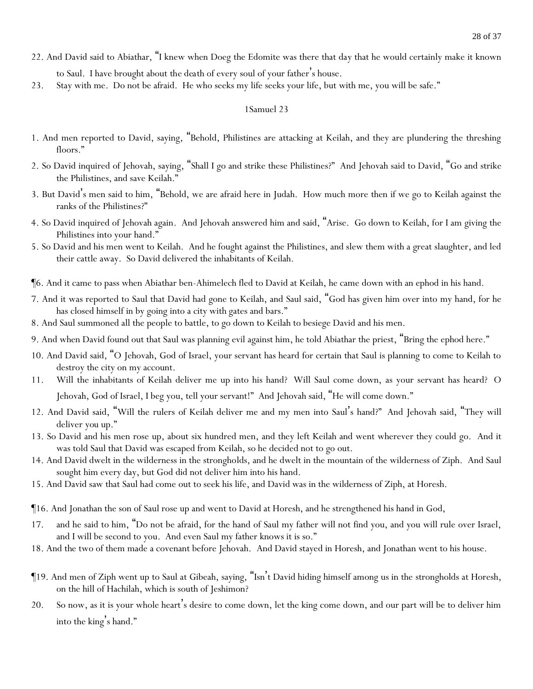- 22. And David said to Abiathar, "I knew when Doeg the Edomite was there that day that he would certainly make it known to Saul. I have brought about *the death* of every soul of your father's house.
- 23. Stay with me. Do not be afraid. He who seeks my life seeks your life, but with me, you will be safe."

- 1. And men reported to David, saying, "Behold, Philistines are attacking at Keilah, and they are plundering the threshing floors."
- 2. So David inquired of Jehovah, saying, "Shall I go and strike these Philistines?" And Jehovah said to David, "Go and strike the Philistines, and save Keilah."
- 3. But David's men said to him, "Behold, we are afraid here in Judah. How much more then if we go to Keilah against the ranks of the Philistines?"
- 4. So David inquired of Jehovah again. And Jehovah answered him and said, "Arise. Go down to Keilah, for I am giving the Philistines into your hand."
- 5. So David and his men went to Keilah. And he fought against the Philistines, and slew them with a great slaughter, and led their cattle away. So David delivered the inhabitants of Keilah.
- ¶6. And it came to pass when Abiathar ben-Ahimelech fled to David at Keilah, he came down with an ephod in his hand.
- 7. And it was reported to Saul that David had gone to Keilah, and Saul said, "God has given him over into my hand, for he has closed himself in by going into a city with gates and bars."
- 8. And Saul summoned all the people to battle, to go down to Keilah to besiege David and his men.
- 9. And when David found out that Saul was planning evil against him, he told Abiathar the priest, "Bring the ephod here."
- 10. And David said, "O Jehovah, God of Israel, your servant has heard for certain that Saul is planning to come to Keilah to destroy the city on my account.
- 11. Will the inhabitants of Keilah deliver me up into his hand? Will Saul come down, as your servant has heard? O Jehovah, God of Israel, I beg you, tell your servant!" And Jehovah said, "He will come down."
- 12. And David said, "Will the rulers of Keilah deliver me and my men into Saul's hand?" And Jehovah said, "They will deliver *you* up."
- 13. So David and his men rose up, about six hundred men, and they left Keilah and went wherever they could go. And it was told Saul that David was escaped from Keilah, so he decided not to go out.
- 14. And David dwelt in the wilderness in the strongholds, and he dwelt in the mountain of the wilderness of Ziph. And Saul sought him every day, but God did not deliver him into his hand.
- 15. And David saw that Saul had come out to seek his life, and David was in the wilderness of Ziph, at Horesh.
- ¶16. And Jonathan the son of Saul rose up and went to David at Horesh, and he strengthened his hand in God,
- 17. and he said to him, "Do not be afraid, for the hand of Saul my father will not find you, and you will rule over Israel, and I will be second to you. And even Saul my father knows it is so."
- 18. And the two of them made a covenant before Jehovah. And David stayed in Horesh, and Jonathan went to his house.
- ¶19. And men of Ziph went up to Saul at Gibeah, saying, "Isn't David hiding himself among us in the strongholds at Horesh, on the hill of Hachilah, which is south of Jeshimon?
- 20. So now, as it is your whole heart's desire to come down, let the king come down, and our part will be to deliver him into the king's hand."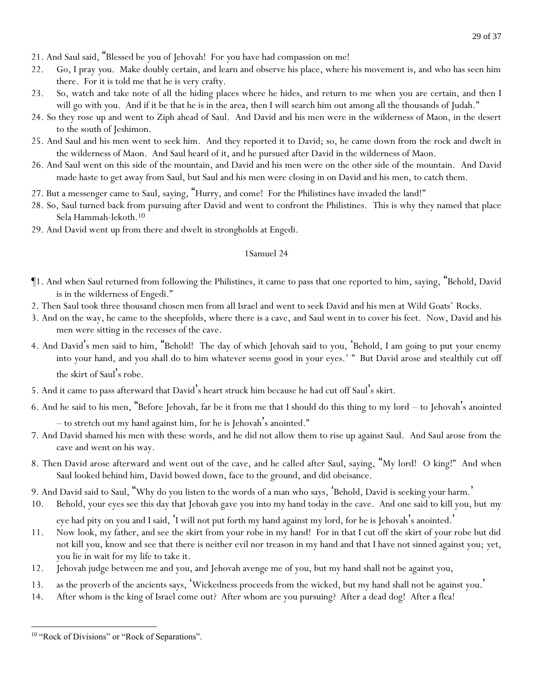- 21. And Saul said, "Blessed be *y*ou of Jehovah! For *y*ou have had compassion on me!
- 22. Go, I pray *y*ou. Make doubly certain, and learn and observe his place, where his movement is, and who has seen him there. For it is told me that he is very crafty.
- 23. So, watch and take note of all the hiding places where he hides, and return to me when *y*ou are certain, and then I will go with *y*ou. And if it be that he is in the area, then I will search him out among all the thousands of Judah."
- 24. So they rose up and went to Ziph ahead of Saul. And David and his men were in the wilderness of Maon, in the desert to the south of Jeshimon.
- 25. And Saul and his men went to seek him. And they reported it to David; so, he came down from the rock and dwelt in the wilderness of Maon. And Saul heard of it, and he pursued after David in the wilderness of Maon.
- 26. And Saul went on this side of the mountain, and David and his men were on the other side of the mountain. And David made haste to get away from Saul, but Saul and his men were closing in on David and his men, to catch them.
- 27. But a messenger came to Saul, saying, "Hurry, and come! For the Philistines have invaded the land!"
- 28. So, Saul turned back from pursuing after David and went to confront the Philistines. This is why they named that place Sela Hammah-lekoth.<sup>10</sup>
- 29. And David went up from there and dwelt in strongholds at Engedi.

- ¶1. And when Saul returned from following the Philistines, it came to pass that one reported to him, saying, "Behold, David is in the wilderness of Engedi."
- 2. Then Saul took three thousand chosen men from all Israel and went to seek David and his men at Wild Goats' Rocks.
- 3. And on the way, he came to the sheepfolds, where there is a cave, and Saul went in to cover his feet. Now, David and his men were sitting in the recesses of the cave.
- 4. And David's men said to him, "Behold! The day of which Jehovah said to you, 'Behold, I am going to put your enemy into your hand, and you shall do to him whatever seems good in your eyes.' " But David arose and stealthily cut off the skirt of Saul's robe.
- 5. And it came to pass afterward that David's heart struck him because he had cut off Saul's skirt.
- 6. And he said to his men, "Before Jehovah, far be it from me that I should do this thing to my lord to Jehovah's anointed
	- to stretch out my hand against him, for he is Jehovah's anointed."
- 7. And David shamed his men with these words, and he did not allow them to rise up against Saul. And Saul arose from the cave and went on his way.
- 8. Then David arose afterward and went out of the cave, and he called after Saul, saying, "My lord! O king!" And when Saul looked behind him, David bowed down, face to the ground, and did obeisance.
- 9. And David said to Saul, "Why do you listen to the words of a man who says, 'Behold, David is seeking your harm.'
- 10. Behold, your eyes see this day that Jehovah gave you into my hand today in the cave. And one said to kill you, but *my eye* had pity on you and I said, 'I will not put forth my hand against my lord, for he is Jehovah's anointed.'
- 11. Now look, my father, and see the skirt from your robe in my hand! For in that I cut off the skirt of your robe but did not kill you, know and see that there is neither evil nor treason in my hand and that I have not sinned against you; yet, you lie in wait for my life to take it.
- 12. Jehovah judge between me and you, and Jehovah avenge me of you, but my hand shall not be against you,
- 13. as the proverb of the ancients says, 'Wickedness proceeds from the wicked, but my hand shall not be against you.'
- 14. After whom is the king of Israel come out? After whom are you pursuing? After a dead dog! After a flea!

<sup>&</sup>lt;sup>10</sup> "Rock of Divisions" or "Rock of Separations".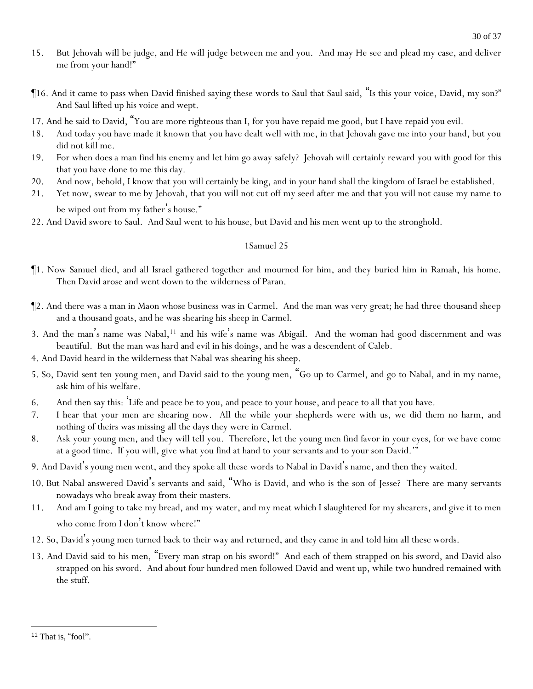- 15. But Jehovah will be judge, and He will judge between me and you. And may He see and plead my case, and deliver me from your hand!"
- ¶16. And it came to pass when David finished saying these words to Saul that Saul said, "Is this your voice, David, my son?" And Saul lifted up his voice and wept.
- 17. And he said to David, "You are more righteous than I, for you have repaid me good, but I have repaid you evil.
- 18. And today you have made it known that you have dealt well with me, in that Jehovah gave me into your hand, but you did not kill me.
- 19. For when does a man find his enemy and let him go away safely? Jehovah will certainly reward you with good for this that you have done to me this day.
- 20. And now, behold, I know that you will certainly be king, and in your hand shall the kingdom of Israel be established.
- 21. Yet now, swear to me by Jehovah, that you will not cut off my seed after me and that you will not cause my name to be wiped out from my father's house."
- 22. And David swore to Saul. And Saul went to his house, but David and his men went up to the stronghold.

- ¶1. Now Samuel died, and all Israel gathered together and mourned for him, and they buried him in Ramah, his home. Then David arose and went down to the wilderness of Paran.
- ¶2. And there was a man in Maon whose business was in Carmel. And the man was very great; he had three thousand sheep and a thousand goats, and he was shearing his sheep in Carmel.
- 3. And the man's name was Nabal,<sup>11</sup> and his wife's name was Abigail. And the woman had good discernment and was beautiful. But the man was hard and evil in his doings, and he was a descendent of Caleb.
- 4. And David heard in the wilderness that Nabal was shearing his sheep.
- 5. So, David sent ten young men, and David said to the young men, "Go up to Carmel, and go to Nabal, and in my name, ask him of his welfare.
- 6. And then say this: 'Life and peace be to you, and peace to your house, and peace to all that you have.
- 7. I hear that your men are shearing now. All the while your shepherds were with us, we did them no harm, and nothing of theirs was missing all the days they were in Carmel.
- 8. Ask your young men, and they will tell you. Therefore, let the young men find favor in your eyes, for we have come at a good time. If you will, give what you find at hand to your servants and to your son David.'"
- 9. And David's young men went, and they spoke all these words to Nabal in David 's name, and then they waited.
- 10. But Nabal answered David's servants and said, "Who is David, and who is the son of Jesse? There are many servants nowadays who break away from their masters.
- 11. And am I going to take my bread, and my water, and my meat which I slaughtered for my shearers, and give it to men who come from I don't know where!"
- 12. So, David's young men turned back to their way and returned, and they came in and told him all these words.
- 13. And David said to his men, "Every man strap on his sword!" And each of them strapped on his sword, and David also strapped on his sword. And about four hundred men followed David and went up, while two hundred remained with the stuff.

<sup>&</sup>lt;sup>11</sup> That is, "fool".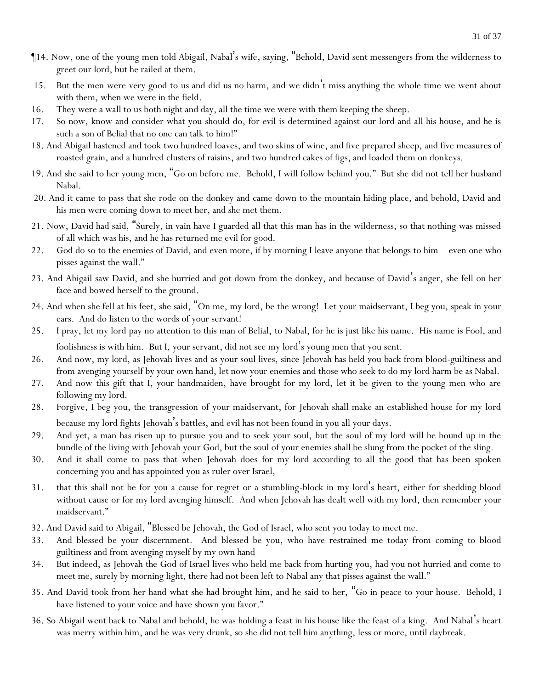- ¶14. Now, one of the young men told Abigail, Nabal's wife, saying, "Behold, David sent messengers from the wilderness to greet our lord, but he railed at them.
- 15. But the men were very good to us and did us no harm, and we didn't miss anything the whole time we went about with them, when we were in the field.
- 16. They were a wall to us both night and day, all the time we were with them keeping the sheep.
- 17. So now, know and consider what you should do, for evil is determined against our lord and all his house, and he is such a son of Belial that no one can talk to him!"
- 18. And Abigail hastened and took two hundred loaves, and two skins of wine, and five prepared sheep, and five measures of roasted grain, and a hundred clusters of raisins, and two hundred cakes of figs, and loaded them on donkeys.
- 19. And she said to her young men, "Go on before me. Behold, I will follow behind you." But she did not tell her husband Nabal.
- 20. And it came to pass that she rode on the donkey and came down to the mountain hiding place, and behold, David and his men were coming down to meet her, and she met them.
- 21. Now, David had said, "Surely, in vain have I guarded all that this man has in the wilderness, so that nothing was missed of all which was his, and he has returned me evil for good.
- 22. God do so to the enemies of David, and even more, if by morning I leave anyone that belongs to him even one who pisses against the wall."
- 23. And Abigail saw David, and she hurried and got down from the donkey, and because of David's anger, she fell on her face and bowed herself to the ground.
- 24. And when she fell at his feet, she said, "On me, my lord, be the wrong! Let your maidservant, I beg you, speak in your ears. And do listen to the words of your servant!
- 25. I pray, let my lord pay no attention to this man of Belial, to Nabal, for he is just like his name. His name is Fool, and foolishness is with him. But I, your servant, did not see my lord's young men that you sent.
- 26. And now, my lord, as Jehovah lives and as your soul lives, since Jehovah has held you back from blood-guiltiness and from avenging yourself by your own hand, let now your enemies and those who seek to do my lord harm be as Nabal.
- 27. And now this gift that I, your handmaiden, have brought for my lord, let it be given to the young men who are following my lord.
- 28. Forgive, I beg you, the transgression of your maidservant, for Jehovah shall make an established house for my lord because my lord fights Jehovah's battles, and evil has not been found in you all your days.
- 29. And yet, a man has risen up to pursue you and to seek your soul, but the soul of my lord will be bound up in the bundle of the living with Jehovah your God, but the soul of your enemies shall be slung from the pocket of the sling.
- 30. And it shall come to pass that when Jehovah does for my lord according to all the good that has been spoken concerning you and has appointed you as ruler over Israel,
- 31. that this shall not be for you a cause for regret or a stumbling-block in my lord's heart, either for shedding blood without cause or for my lord avenging himself. And when Jehovah has dealt well with my lord, then remember your maidservant."
- 32. And David said to Abigail, "Blessed be Jehovah, the God of Israel, who sent you today to meet me.
- 33. And blessed be your discernment. And blessed be you, who have restrained me today from coming to blood guiltiness and from avenging myself by my own hand
- 34. But indeed, as Jehovah the God of Israel lives who held me back from hurting you, had you not hurried and come to meet me, surely by morning light, there had not been left to Nabal any that pisses against the wall."
- 35. And David took from her hand what she had brought him, and he said to her, "Go in peace to your house. Behold, I have listened to your voice and have shown you favor."
- 36. So Abigail went back to Nabal and behold, he was holding a feast in his house like the feast of a king. And Nabal's heart was merry within him, and he was very drunk, so she did not tell him anything, less or more, until daybreak.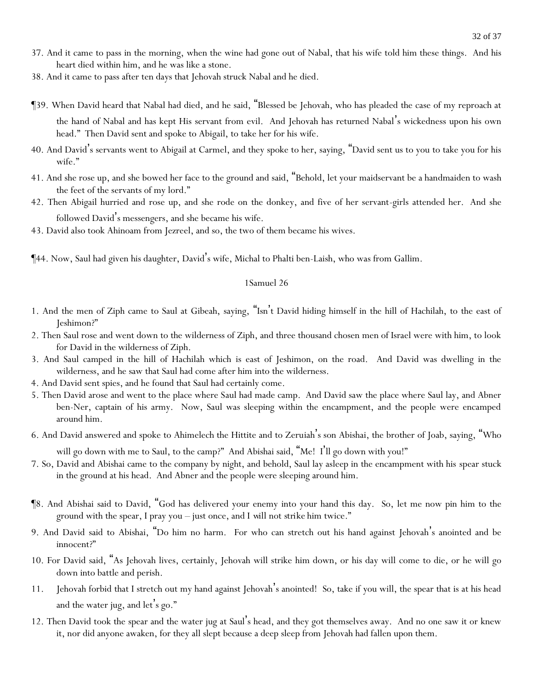- 37. And it came to pass in the morning, when the wine had gone out of Nabal, that his wife told him these things. And his heart died within him, and he was like a stone.
- 38. And it came to pass after ten days that Jehovah struck Nabal and he died.
- ¶39. When David heard that Nabal had died, and he said, "Blessed be Jehovah, who has pleaded the case of my reproach at the hand of Nabal and has kept His servant from evil. And Jehovah has returned Nabal's wickedness upon his own head." Then David sent and spoke to Abigail, to take her for his wife.
- 40. And David's servants went to Abigail at Carmel, and they spoke to her, saying, "David sent us to you to take you for his wife."
- 41. And she rose up, and she bowed her face to the ground and said, "Behold, let your maidservant be a handmaiden to wash the feet of the servants of my lord."
- 42. Then Abigail hurried and rose up, and she rode on the donkey, and five of her servant-girls attended her. And she followed David's messengers, and she became his wife.
- 43. David also took Ahinoam from Jezreel, and so, the two of them became his wives.

¶44. Now, Saul had given his daughter, David's wife, Michal to Phalti ben-Laish, who was from Gallim.

#### 1Samuel 26

- 1. And the men of Ziph came to Saul at Gibeah, saying, "Isn't David hiding himself in the hill of Hachilah, to the east of Jeshimon?"
- 2. Then Saul rose and went down to the wilderness of Ziph, and three thousand chosen men of Israel were with him, to look for David in the wilderness of Ziph.
- 3. And Saul camped in the hill of Hachilah which is east of Jeshimon, on the road. And David was dwelling in the wilderness, and he saw that Saul had come after him into the wilderness.
- 4. And David sent spies, and he found that Saul had certainly come.
- 5. Then David arose and went to the place where Saul had made camp. And David saw the place where Saul lay, and Abner ben-Ner, captain of his army. Now, Saul was sleeping within the encampment, and the people were encamped around him.
- 6. And David answered and spoke to Ahimelech the Hittite and to Zeruiah's son Abishai, the brother of Joab, saying, "Who

will go down with me to Saul, to the camp?" And Abishai said, "Me! I'll go down with you!"

- 7. So, David and Abishai came to the company by night, and behold, Saul lay asleep in the encampment with his spear stuck in the ground at his head. And Abner and the people were sleeping around him.
- ¶8. And Abishai said to David, "God has delivered your enemy into your hand this day. So, let me now pin him to the ground with the spear, I pray you – just once, and *I will* not *strike* him twice."
- 9. And David said to Abishai, "Do him no harm. For who can stretch out his hand against Jehovah's anointed and be innocent?"
- 10. For David said, "As Jehovah lives, certainly, Jehovah will strike him down, or his day will come to die, or he will go down into battle and perish.
- 11. Jehovah forbid that I stretch out my hand against Jehovah's anointed! So, take if you will, the spear that is at his head and the water jug, and let's go."
- 12. Then David took the spear and the water jug at Saul's head, and they got themselves away. And no one saw it or knew it, nor did anyone awaken, for they all slept because a deep sleep from Jehovah had fallen upon them.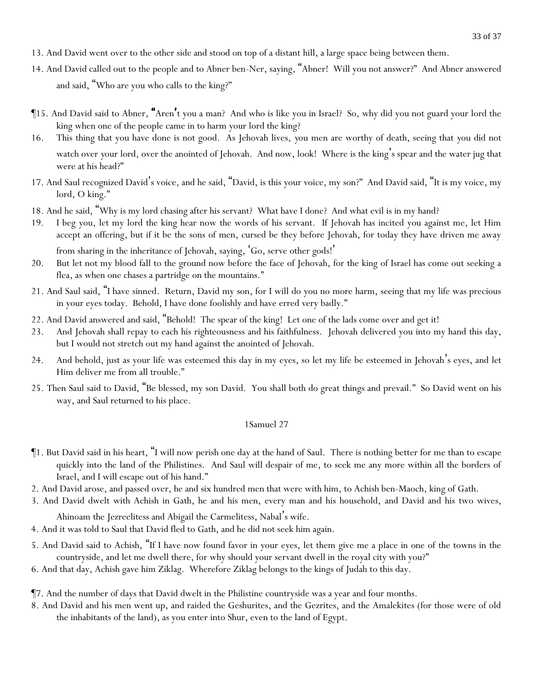- 13. And David went over to the other side and stood on top of a distant hill, a large space being between them.
- 14. And David called out to the people and to Abner ben-Ner, saying, "Abner! Will you not answer?" And Abner answered and said, "Who are you who calls to the king?"
- ¶15. And David said to Abner, "Aren't you a man? And who is like you in Israel? So, why did you not guard your lord the king when one of the people came in to harm your lord the king?
- 16. This thing that you have done is not good. As Jehovah lives, *y*ou men are worthy of death, seeing that *y*ou did not watch over *y*our lord, over the anointed of Jehovah. And now, look! Where is the king's spear and the water jug that were at his head?"
- 17. And Saul recognized David's voice, and he said, "David, is this your voice, my son?" And David said, "It is my voice, my lord, O king."
- 18. And he said, "Why is my lord chasing after his servant? What have I done? And what evil is in my hand?
- 19. I beg you, let my lord the king hear now the words of his servant. If Jehovah has incited you against me, let Him accept an offering, but if it be the sons of men, cursed be they before Jehovah, for today they have driven me away from sharing in the inheritance of Jehovah, saying, 'Go, serve other gods!'
- 20. But let not my blood fall to the ground now before the face of Jehovah, for the king of Israel has come out seeking a flea, as when one chases a partridge on the mountains."
- 21. And Saul said, "I have sinned. Return, David my son, for I will do you no more harm, seeing that my life was precious in your eyes today. Behold, I have done foolishly and have erred very badly."
- 22. And David answered and said, "Behold! The spear of the king! Let one of the lads come over and get it!
- 23. And Jehovah shall repay to each his righteousness and his faithfulness. Jehovah delivered you into my hand this day, but I would not stretch out my hand against the anointed of Jehovah.
- 24. And behold, just as your life was esteemed this day in my eyes, so let my life be esteemed in Jehovah's eyes, and let Him deliver me from all trouble."
- 25. Then Saul said to David, "Be blessed, my son David. You shall both do great things and prevail." So David went on his way, and Saul returned to his place.

- ¶1. But David said in his heart, "I will now perish one day at the hand of Saul. There is nothing better for me than to escape quickly into the land of the Philistines. And Saul will despair of me, to seek me any more within all the borders of Israel, and I will escape out of his hand."
- 2. And David arose, and passed over, he and six hundred men that were with him, to Achish ben-Maoch, king of Gath.
- 3. And David dwelt with Achish in Gath, he and his men, every man and his household, and David and his two wives,

Ahinoam the Jezreelitess and Abigail the Carmelitess, Nabal's wife.

- 4. And it was told to Saul that David fled to Gath, and he did not seek him again.
- 5. And David said to Achish, "If I have now found favor in your eyes, let them give me a place in one of the towns in the countryside, and let me dwell there, for why should your servant dwell in the royal city with you?"
- 6. And that day, Achish gave him Ziklag. Wherefore Ziklag belongs to the kings of Judah to this day.
- ¶7. And the number of days that David dwelt in the Philistine countryside was a year and four months.
- 8. And David and his men went up, and raided the Geshurites, and the Gezrites, and the Amalekites (for those were of old the inhabitants of the land), as you enter into Shur, even to the land of Egypt.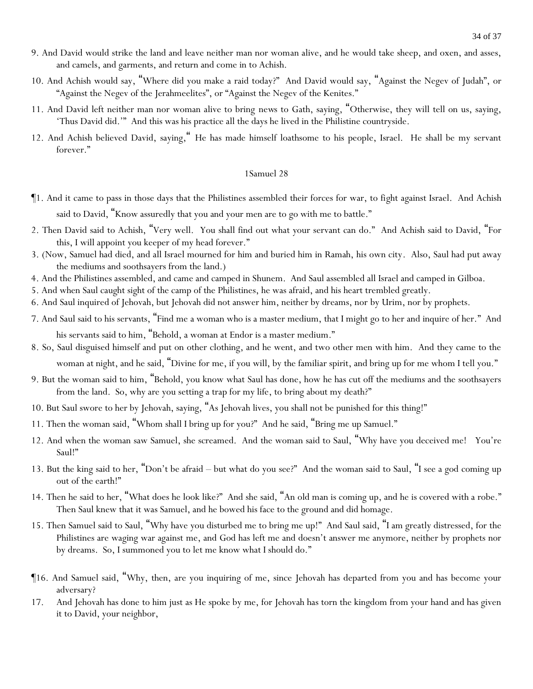- 9. And David would strike the land and leave neither man nor woman alive, and he would take sheep, and oxen, and asses, and camels, and garments, and return and come in to Achish.
- 10. And Achish would say, "Where did you make a raid today?" And David would say, "Against the Negev of Judah", or "Against the Negev of the Jerahmeelites", or "Against the Negev of the Kenites."
- 11. And David left neither man nor woman alive to bring *news* to Gath, saying, "Otherwise, they will tell on us, saying, 'Thus David did.'" And this was his practice all the days he lived in the Philistine countryside.
- 12. And Achish believed David, saying," He has made himself loathsome to his people, Israel. He shall be my servant forever."

- ¶1. And it came to pass in those days that the Philistines assembled their forces for war, to fight against Israel. And Achish said to David, "Know assuredly that you and your men are to go with me to battle."
- 2. Then David said to Achish, "Very well. You shall find out what your servant can do." And Achish said to David, "For this, I will appoint you keeper of my head forever."
- 3. (Now, Samuel had died, and all Israel mourned for him and buried him in Ramah, his own city. Also, Saul had put away the mediums and soothsayers from the land.)
- 4. And the Philistines assembled, and came and camped in Shunem. And Saul assembled all Israel and camped in Gilboa.
- 5. And when Saul caught sight of the camp of the Philistines, he was afraid, and his heart trembled greatly.
- 6. And Saul inquired of Jehovah, but Jehovah did not answer him, neither by dreams, nor by Urim, nor by prophets.
- 7. And Saul said to his servants, "Find me a woman who is a master medium, that I might go to her and inquire of her." And his servants said to him, "Behold, a woman at Endor is a master medium."
- 8. So, Saul disguised himself and put on other clothing, and he went, and two other men with him. And they came to the woman at night, and he said, "Divine for me, if you will, by the familiar spirit, and bring up for me whom I tell you."
- 9. But the woman said to him, "Behold, you know what Saul has done, how he has cut off the mediums and the soothsayers from the land. So, why are you setting a trap for my life, to bring about my death?"
- 10. But Saul swore to her by Jehovah, saying, "As Jehovah lives, you shall not be punished for this thing!"
- 11. Then the woman said, "Whom shall I bring up for you?" And he said, "Bring me up Samuel."
- 12. And when the woman saw Samuel, she screamed. And the woman said to Saul, "Why have you deceived me! You're Saul!"
- 13. But the king said to her, "Don't be afraid but what do you see?" And the woman said to Saul, "I see a god coming up out of the earth!"
- 14. Then he said to her, "What does he look like?" And she said, "An old man is coming up, and he is covered with a robe." Then Saul knew that it was Samuel, and he bowed his face to the ground and did homage.
- 15. Then Samuel said to Saul, "Why have you disturbed me to bring me up!" And Saul said, "I am greatly distressed, for the Philistines are waging war against me, and God has left me and doesn't answer me anymore, neither by prophets nor by dreams. So, I summoned you to let me know what I should do."
- ¶16. And Samuel said, "Why, then, are you inquiring of me, since Jehovah has departed from you and has become your adversary?
- 17. And Jehovah has done to him just as He spoke by me, for Jehovah has torn the kingdom from your hand and has given it to David, your neighbor,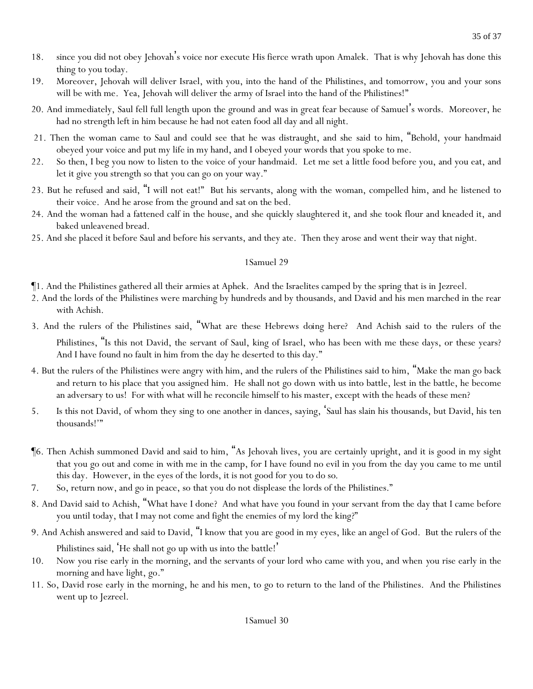- 18. since you did not obey Jehovah's voice nor execute His fierce wrath upon Amalek. That is why Jehovah has done this thing to you today.
- 19. Moreover, Jehovah will deliver Israel, with you, into the hand of the Philistines, and tomorrow, you and your sons will be with me. Yea, Jehovah will deliver the army of Israel into the hand of the Philistines!"
- 20. And immediately, Saul fell full length upon the ground and was in great fear because of Samuel's words. Moreover, he had no strength left in him because he had not eaten food all day and all night.
- 21. Then the woman came to Saul and could see that he was distraught, and she said to him, "Behold, your handmaid obeyed your voice and put my life in my hand, and I obeyed your words that you spoke to me.
- 22. So then, I beg you now to listen to the voice of your handmaid. Let me set a little food before you, and you eat, and let it give you strength so that you can go on your way."
- 23. But he refused and said, "I will not eat!" But his servants, along with the woman, compelled him, and he listened to their voice. And he arose from the ground and sat on the bed.
- 24. And the woman had a fattened calf in the house, and she quickly slaughtered it, and she took flour and kneaded it, and baked unleavened bread.
- 25. And she placed it before Saul and before his servants, and they ate. Then they arose and went their way that night.

- ¶1. And the Philistines gathered all their armies at Aphek. And the Israelites camped by the spring that is in Jezreel.
- 2. And the lords of the Philistines were marching by hundreds and by thousands, and David and his men marched in the rear with Achish.
- 3. And the rulers of the Philistines said, "What are these Hebrews *doing here*? And Achish said to the rulers of the Philistines, "Is this not David, the servant of Saul, king of Israel, who has been with me these days, or these years? And I have found no fault in him from the day he deserted to this day."
- 4. But the rulers of the Philistines were angry with him, and the rulers of the Philistines said to him, "Make the man go back and return to his place that you assigned him. He shall not go down with us into battle, lest in the battle, he become an adversary to us! For with what will he reconcile himself to his master, except with the heads of these men?
- 5. Is this not David, of whom they sing to one another in dances, saying, 'Saul has slain his thousands, but David, his ten thousands!'"
- ¶6. Then Achish summoned David and said to him, "As Jehovah lives, you are certainly upright, and it is good in my sight that you go out and come in with me in the camp, for I have found no evil in you from the day you came to me until this day. However, in the eyes of the lords, it is not good for you *to do so*.
- 7. So, return now, and go in peace, so that you do not displease the lords of the Philistines."
- 8. And David said to Achish, "What have I done? And what have you found in your servant from the day that I came before you until today, that I may not come and fight the enemies of my lord the king?"
- 9. And Achish answered and said to David, "I know that you are good in my eyes, like an angel of God. But the rulers of the Philistines said, He shall not go up with us into the battle!'
- 10. Now you rise early in the morning, and the servants of your lord who came with you, and when *y*ou rise early in the morning and have light, go."
- 11. So, David rose early in the morning, he and his men, to go to return to the land of the Philistines. And the Philistines went up to Jezreel.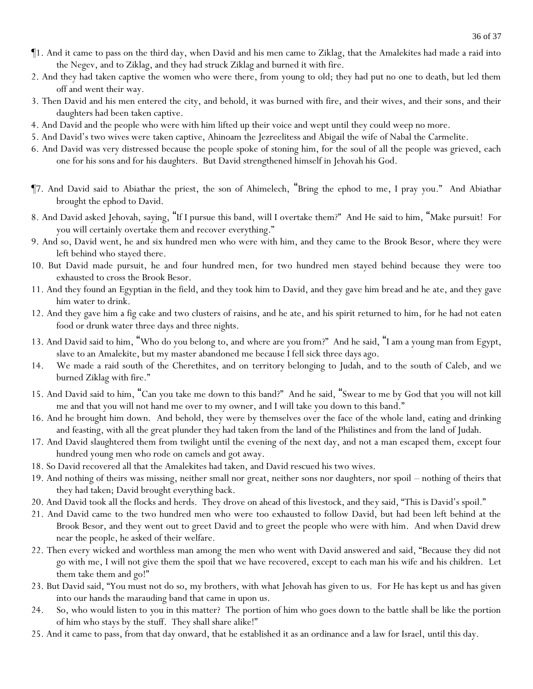- ¶1. And it came to pass on the third day, when David and his men came to Ziklag, that the Amalekites had made a raid into the Negev, and to Ziklag, and they had struck Ziklag and burned it with fire.
- 2. And they had taken captive the women who were there, from young to old; they had put no one to death, but led them off and went their way.
- 3. Then David and his men entered the city, and behold, it was burned with fire, and their wives, and their sons, and their daughters had been taken captive.
- 4. And David and the people who were with him lifted up their voice and wept until they could weep no more.
- 5. And David's two wives were taken captive, Ahinoam the Jezreelitess and Abigail the wife of Nabal the Carmelite.
- 6. And David was very distressed because the people spoke of stoning him, for the soul of all the people was grieved, each one for his sons and for his daughters. But David strengthened himself in Jehovah his God.
- ¶7. And David said to Abiathar the priest, the son of Ahimelech, "Bring the ephod to me, I pray you." And Abiathar brought the ephod to David.
- 8. And David asked Jehovah, saying, "If I pursue this band, will I overtake them?" And He said to him, "Make pursuit! For you will certainly overtake them and recover *everything*."
- 9. And so, David went, he and six hundred men who were with him, and they came to the Brook Besor, where they were left behind who stayed there.
- 10. But David made pursuit, he and four hundred men, for two hundred men stayed behind because they were too exhausted to cross the Brook Besor.
- 11. And they found an Egyptian in the field, and they took him to David, and they gave him bread and he ate, and they gave him water to drink.
- 12. And they gave him a fig cake and two clusters of raisins, and he ate, and his spirit returned to him, for he had not eaten food or drunk water three days and three nights.
- 13. And David said to him, "Who do you belong to, and where are you from?" And he said, "I am a young man from Egypt, slave to an Amalekite, but my master abandoned me because I fell sick three days ago.
- 14. We made a raid south of the Cherethites, and on *territory* belonging to Judah, and to the south of Caleb, and we burned Ziklag with fire."
- 15. And David said to him, "Can you take me down to this band?" And he said, "Swear to me by God that you will not kill me and that you will not hand me over to my owner, and I will take you down to this band."
- 16. And he brought him down. And behold, they were by themselves over the face of the whole land, eating and drinking and feasting, with all the great plunder they had taken from the land of the Philistines and from the land of Judah.
- 17. And David slaughtered them from twilight until the evening of the next day, and not a man escaped them, except four hundred young men who rode on camels and got away.
- 18. So David recovered all that the Amalekites had taken, and David rescued his two wives.
- 19. And nothing of theirs was missing, neither small nor great, neither sons nor daughters, nor spoil nothing of theirs that they had taken; David brought everything back.
- 20. And David took all the flocks and herds. They drove on ahead of this livestock, and they said, "This is David's spoil."
- 21. And David came to the two hundred men who were too exhausted to follow David, but had been left behind at the Brook Besor, and they went out to greet David and to greet the people who were with him. And when David drew near the people, he asked of their welfare.
- 22. Then every wicked and worthless man among the men who went with David answered and said, "Because they did not go with me, I will not give them the spoil that we have recovered, except to each man his wife and his children. Let them take them and go!"
- 23. But David said, "You must not do so, my brothers, with what Jehovah has given to us. For He has kept us and has given into our hands the marauding band that came in upon us.
- 24. So, who would listen to *y*ou in this matter? The portion of him who goes down to the battle shall be like the portion of him who stays by the stuff. They shall share alike!"
- 25. And it came to pass, from that day onward, that he established it as an ordinance and a law for Israel, until this day.